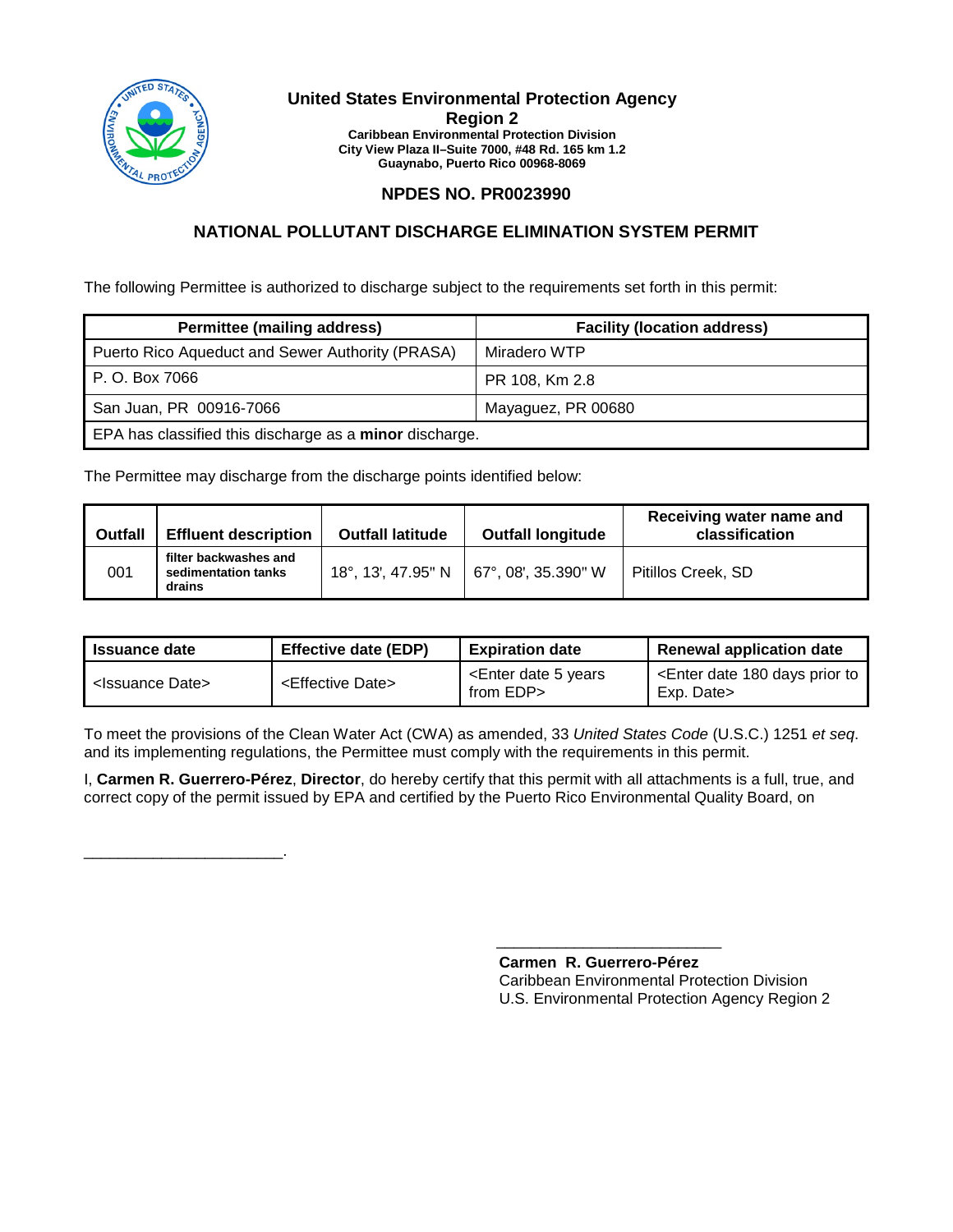

\_\_\_\_\_\_\_\_\_\_\_\_\_\_\_\_\_\_\_\_\_\_\_.

#### **United States Environmental Protection Agency Region 2 Caribbean Environmental Protection Division City View Plaza II–Suite 7000, #48 Rd. 165 km 1.2 Guaynabo, Puerto Rico 00968-8069**

## **NPDES NO. PR0023990**

## **NATIONAL POLLUTANT DISCHARGE ELIMINATION SYSTEM PERMIT**

The following Permittee is authorized to discharge subject to the requirements set forth in this permit:

| <b>Permittee (mailing address)</b>                      | <b>Facility (location address)</b> |  |
|---------------------------------------------------------|------------------------------------|--|
| Puerto Rico Aqueduct and Sewer Authority (PRASA)        | Miradero WTP                       |  |
| P. O. Box 7066                                          | PR 108, Km 2.8                     |  |
| San Juan, PR 00916-7066                                 | Mayaguez, PR 00680                 |  |
| EPA has classified this discharge as a minor discharge. |                                    |  |

The Permittee may discharge from the discharge points identified below:

| <b>Outfall</b> | <b>Effluent description</b>                            | <b>Outfall latitude</b> | <b>Outfall longitude</b>                 | Receiving water name and<br>classification |
|----------------|--------------------------------------------------------|-------------------------|------------------------------------------|--------------------------------------------|
| 001            | filter backwashes and<br>sedimentation tanks<br>drains |                         | 18°, 13', 47.95" N   67°, 08', 35.390" W | Pitillos Creek, SD                         |

| <b>Issuance date</b>            | <b>Effective date (EDP)</b>     | <b>Expiration date</b>                               | <b>Renewal application date</b>                                       |
|---------------------------------|---------------------------------|------------------------------------------------------|-----------------------------------------------------------------------|
| ' <issuance date=""></issuance> | <effective date=""></effective> | <enter 5="" date="" years<br="">from EDP&gt;</enter> | <enter 180="" date="" days="" prior="" to<br="">Exp. Date&gt;</enter> |

To meet the provisions of the Clean Water Act (CWA) as amended, 33 *United States Code* (U.S.C.) 1251 *et seq*. and its implementing regulations, the Permittee must comply with the requirements in this permit.

I, **Carmen R. Guerrero-Pérez**, **Director**, do hereby certify that this permit with all attachments is a full, true, and correct copy of the permit issued by EPA and certified by the Puerto Rico Environmental Quality Board, on

> **Carmen R. Guerrero-Pérez** Caribbean Environmental Protection Division U.S. Environmental Protection Agency Region 2

\_\_\_\_\_\_\_\_\_\_\_\_\_\_\_\_\_\_\_\_\_\_\_\_\_\_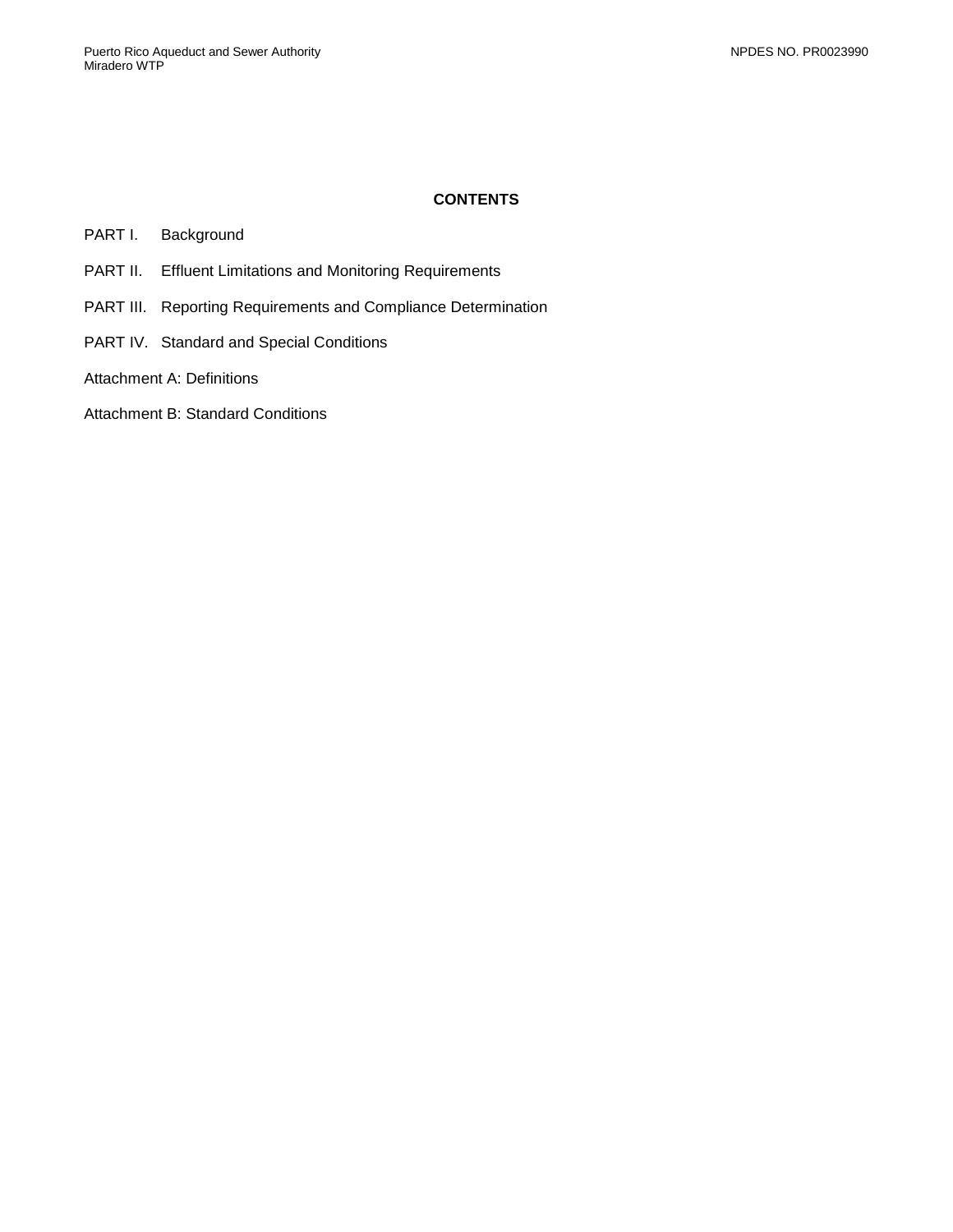## **CONTENTS**

- PART I. [Background](#page-2-0)
- PART II. [Effluent Limitations and Monitoring Requirements](#page-3-0)
- PART III. [Reporting Requirements and Compliance Determination](#page-5-0)
- PART IV. [Standard and Special Conditions](#page-7-0)
- [Attachment A: Definitions](#page-12-0)
- [Attachment B: Standard Conditions](#page-16-0)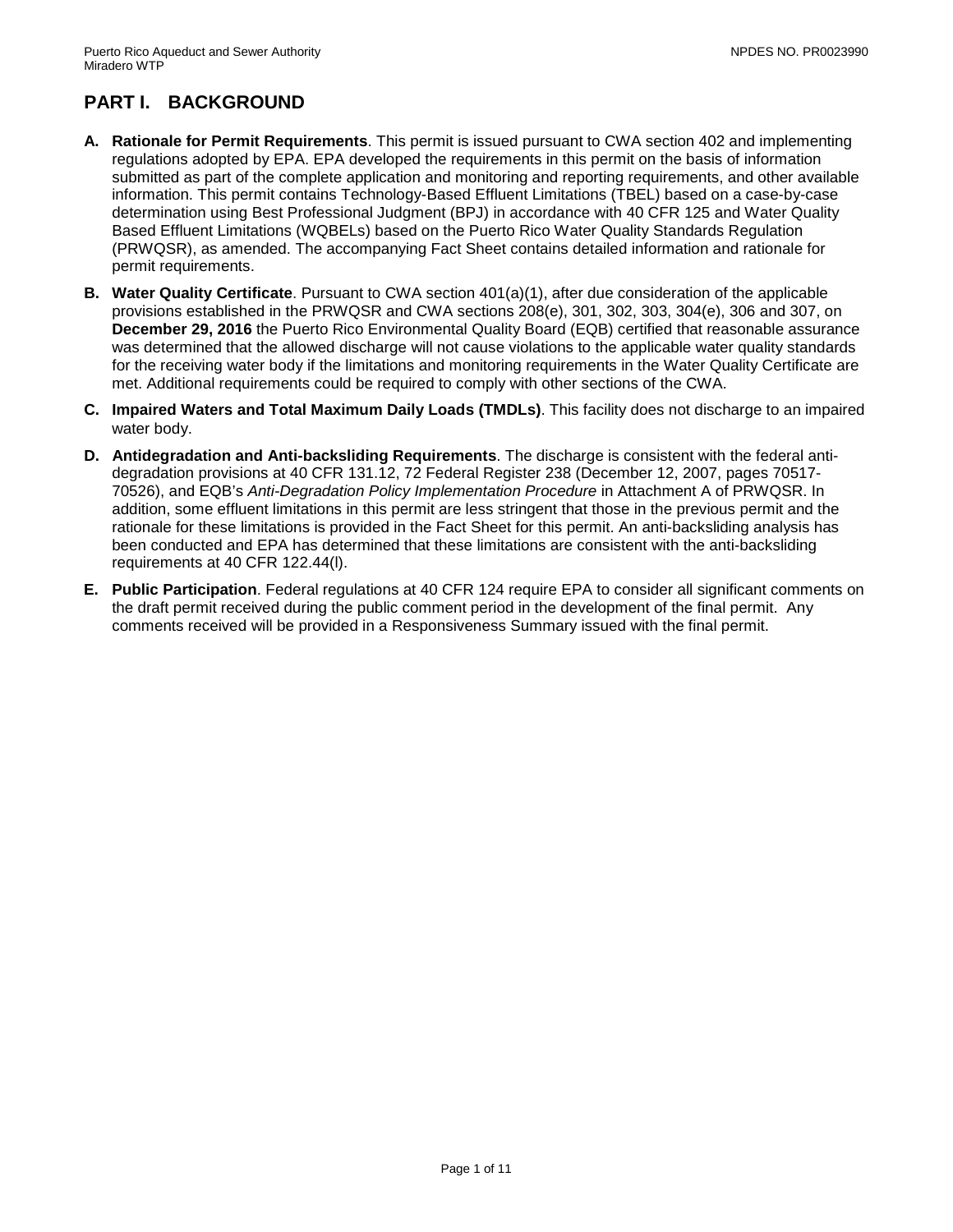# <span id="page-2-0"></span>**PART I. BACKGROUND**

- **A. Rationale for Permit Requirements**. This permit is issued pursuant to CWA section 402 and implementing regulations adopted by EPA. EPA developed the requirements in this permit on the basis of information submitted as part of the complete application and monitoring and reporting requirements, and other available information. This permit contains Technology-Based Effluent Limitations (TBEL) based on a case-by-case determination using Best Professional Judgment (BPJ) in accordance with 40 CFR 125 and Water Quality Based Effluent Limitations (WQBELs) based on the Puerto Rico Water Quality Standards Regulation (PRWQSR), as amended. The accompanying Fact Sheet contains detailed information and rationale for permit requirements.
- **B. Water Quality Certificate**. Pursuant to CWA section 401(a)(1), after due consideration of the applicable provisions established in the PRWQSR and CWA sections 208(e), 301, 302, 303, 304(e), 306 and 307, on **December 29, 2016** the Puerto Rico Environmental Quality Board (EQB) certified that reasonable assurance was determined that the allowed discharge will not cause violations to the applicable water quality standards for the receiving water body if the limitations and monitoring requirements in the Water Quality Certificate are met. Additional requirements could be required to comply with other sections of the CWA.
- **C. Impaired Waters and Total Maximum Daily Loads (TMDLs)**. This facility does not discharge to an impaired water body.
- **D. Antidegradation and Anti-backsliding Requirements**. The discharge is consistent with the federal antidegradation provisions at 40 CFR 131.12, 72 Federal Register 238 (December 12, 2007, pages 70517- 70526), and EQB's *Anti-Degradation Policy Implementation Procedure* in Attachment A of PRWQSR. In addition, some effluent limitations in this permit are less stringent that those in the previous permit and the rationale for these limitations is provided in the Fact Sheet for this permit. An anti-backsliding analysis has been conducted and EPA has determined that these limitations are consistent with the anti-backsliding requirements at 40 CFR 122.44(l).
- **E. Public Participation**. Federal regulations at 40 CFR 124 require EPA to consider all significant comments on the draft permit received during the public comment period in the development of the final permit. Any comments received will be provided in a Responsiveness Summary issued with the final permit.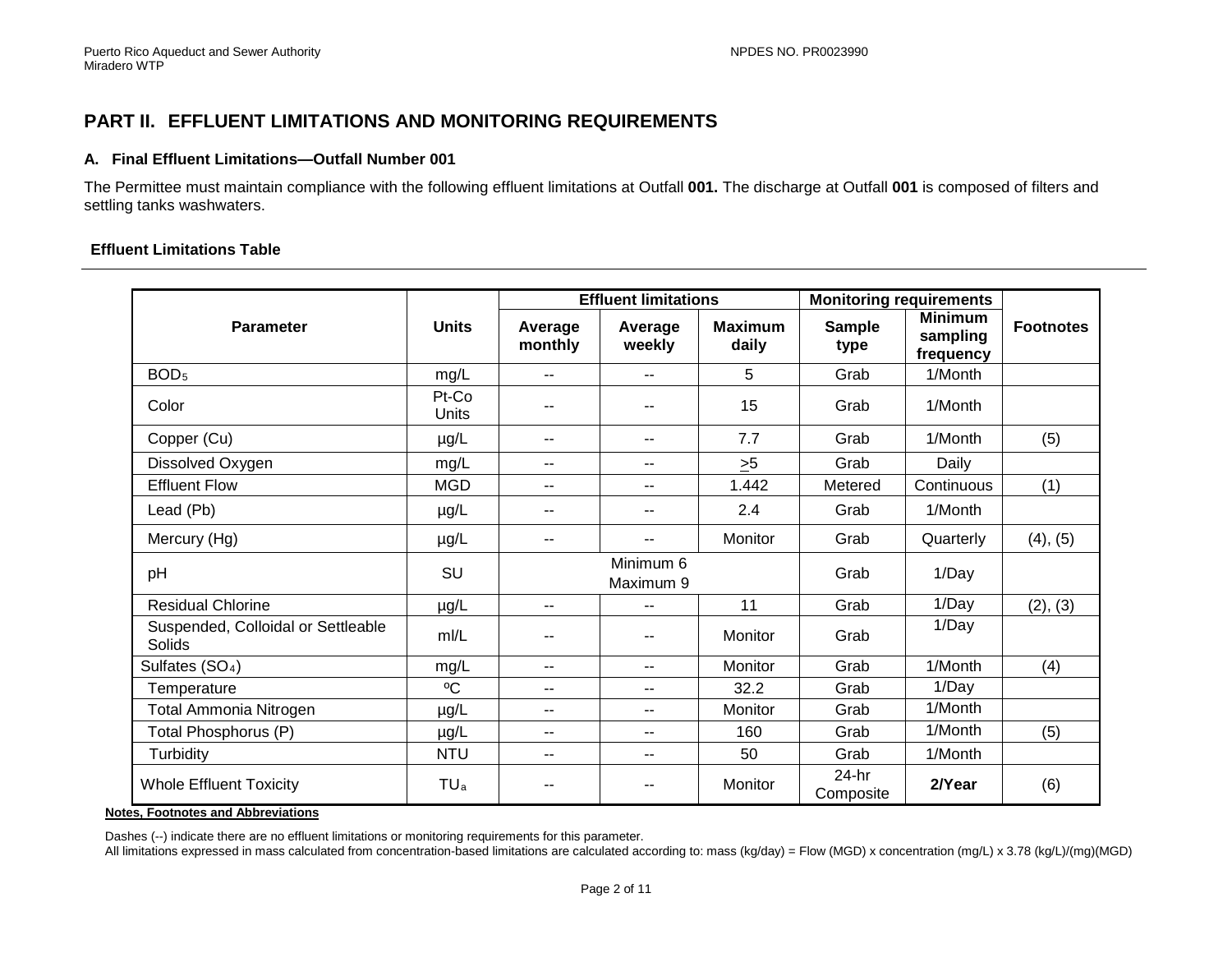## **PART II. EFFLUENT LIMITATIONS AND MONITORING REQUIREMENTS**

#### **A. Final Effluent Limitations—Outfall Number 001**

The Permittee must maintain compliance with the following effluent limitations at Outfall **001.** The discharge at Outfall **001** is composed of filters and settling tanks washwaters.

#### **Effluent Limitations Table**

<span id="page-3-0"></span>

|                                              |                       | <b>Effluent limitations</b> |                        |                         | <b>Monitoring requirements</b> |                                         |                  |
|----------------------------------------------|-----------------------|-----------------------------|------------------------|-------------------------|--------------------------------|-----------------------------------------|------------------|
| <b>Parameter</b>                             | <b>Units</b>          | Average<br>monthly          | Average<br>weekly      | <b>Maximum</b><br>daily | <b>Sample</b><br>type          | <b>Minimum</b><br>sampling<br>frequency | <b>Footnotes</b> |
| BOD <sub>5</sub>                             | mg/L                  | $-$                         |                        | 5                       | Grab                           | 1/Month                                 |                  |
| Color                                        | Pt-Co<br><b>Units</b> | $- -$                       |                        | 15                      | Grab                           | 1/Month                                 |                  |
| Copper (Cu)                                  | µg/L                  | $- -$                       |                        | 7.7                     | Grab                           | 1/Month                                 | (5)              |
| Dissolved Oxygen                             | mg/L                  | $- -$                       | $-$                    | >5                      | Grab                           | Daily                                   |                  |
| <b>Effluent Flow</b>                         | <b>MGD</b>            | $\sim$ $-$                  | $-$                    | 1.442                   | Metered                        | Continuous                              | (1)              |
| Lead (Pb)                                    | $\mu$ g/L             | $\sim$ $-$                  |                        | 2.4                     | Grab                           | 1/Month                                 |                  |
| Mercury (Hg)                                 | $\mu$ g/L             | $- -$                       |                        | Monitor                 | Grab                           | Quarterly                               | (4), (5)         |
| pH                                           | SU                    |                             | Minimum 6<br>Maximum 9 |                         | Grab                           | 1/Day                                   |                  |
| <b>Residual Chlorine</b>                     | $\mu$ g/L             | $\overline{\phantom{m}}$    | $-$                    | 11                      | Grab                           | 1/Day                                   | (2), (3)         |
| Suspended, Colloidal or Settleable<br>Solids | m/L                   | --                          |                        | Monitor                 | Grab                           | 1/Day                                   |                  |
| Sulfates (SO <sub>4</sub> )                  | mg/L                  | $\sim$ $-$                  | $-$                    | Monitor                 | Grab                           | 1/Month                                 | (4)              |
| Temperature                                  | $^{\circ}C$           | $\overline{\phantom{a}}$    | $-$                    | 32.2                    | Grab                           | 1/Day                                   |                  |
| <b>Total Ammonia Nitrogen</b>                | $\mu$ g/L             | $\sim$ $\sim$               | $-$                    | Monitor                 | Grab                           | 1/Month                                 |                  |
| Total Phosphorus (P)                         | $\mu$ g/L             | $-$                         | $-$                    | 160                     | Grab                           | 1/Month                                 | (5)              |
| Turbidity                                    | <b>NTU</b>            | $\overline{\phantom{m}}$    | --                     | 50                      | Grab                           | 1/Month                                 |                  |
| <b>Whole Effluent Toxicity</b>               | TUa                   | --                          |                        | Monitor                 | $24-hr$<br>Composite           | 2/Year                                  | (6)              |

**Notes, Footnotes and Abbreviations**

Dashes (--) indicate there are no effluent limitations or monitoring requirements for this parameter.

All limitations expressed in mass calculated from concentration-based limitations are calculated according to: mass (kg/day) = Flow (MGD) x concentration (mg/L) x 3.78 (kg/L)/(mg)(MGD)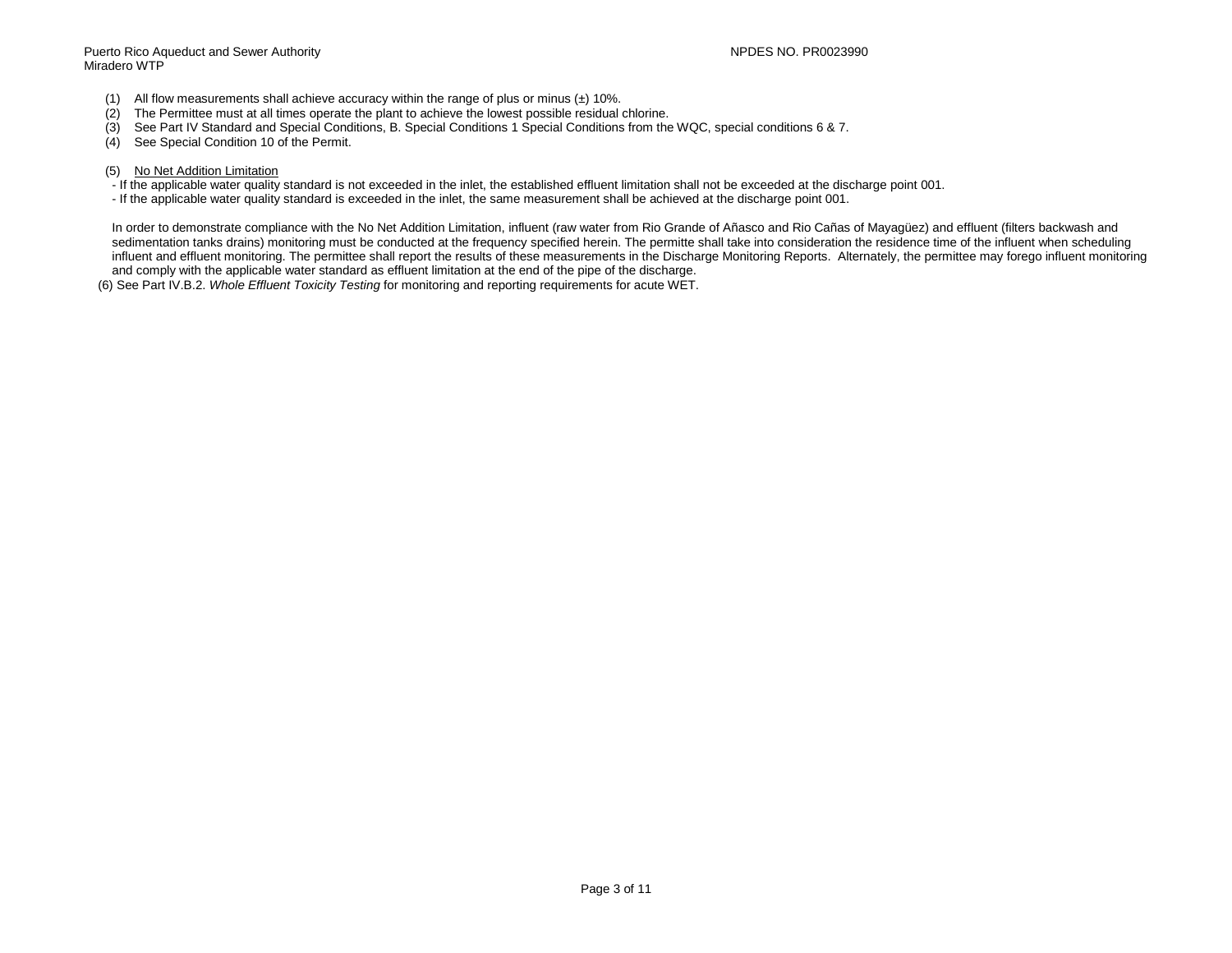Puerto Rico Aqueduct and Sewer Authority NPDES NO. PR0023990 Miradero WTP

- (1) All flow measurements shall achieve accuracy within the range of plus or minus  $(\pm)$  10%.<br>(2) The Permittee must at all times operate the plant to achieve the lowest possible residual
- (2) The Permittee must at all times operate the plant to achieve the lowest possible residual chlorine.<br>(3) See Part IV Standard and Special Conditions, B. Special Conditions 1 Special Conditions from the
- (3) See Part IV Standard and Special Conditions, B. Special Conditions 1 Special Conditions from the WQC, special conditions 6 & 7.
- See Special Condition 10 of the Permit.
- (5) No Net Addition Limitation
- If the applicable water quality standard is not exceeded in the inlet, the established effluent limitation shall not be exceeded at the discharge point 001.
- If the applicable water quality standard is exceeded in the inlet, the same measurement shall be achieved at the discharge point 001.

In order to demonstrate compliance with the No Net Addition Limitation, influent (raw water from Rio Grande of Añasco and Rio Cañas of Mayagüez) and effluent (filters backwash and sedimentation tanks drains) monitoring must be conducted at the frequency specified herein. The permitte shall take into consideration the residence time of the influent when scheduling influent and effluent monitoring. The permittee shall report the results of these measurements in the Discharge Monitoring Reports. Alternately, the permittee may forego influent monitoring and comply with the applicable water standard as effluent limitation at the end of the pipe of the discharge.

(6) See Part IV.B.2. *Whole Effluent Toxicity Testing* for monitoring and reporting requirements for acute WET.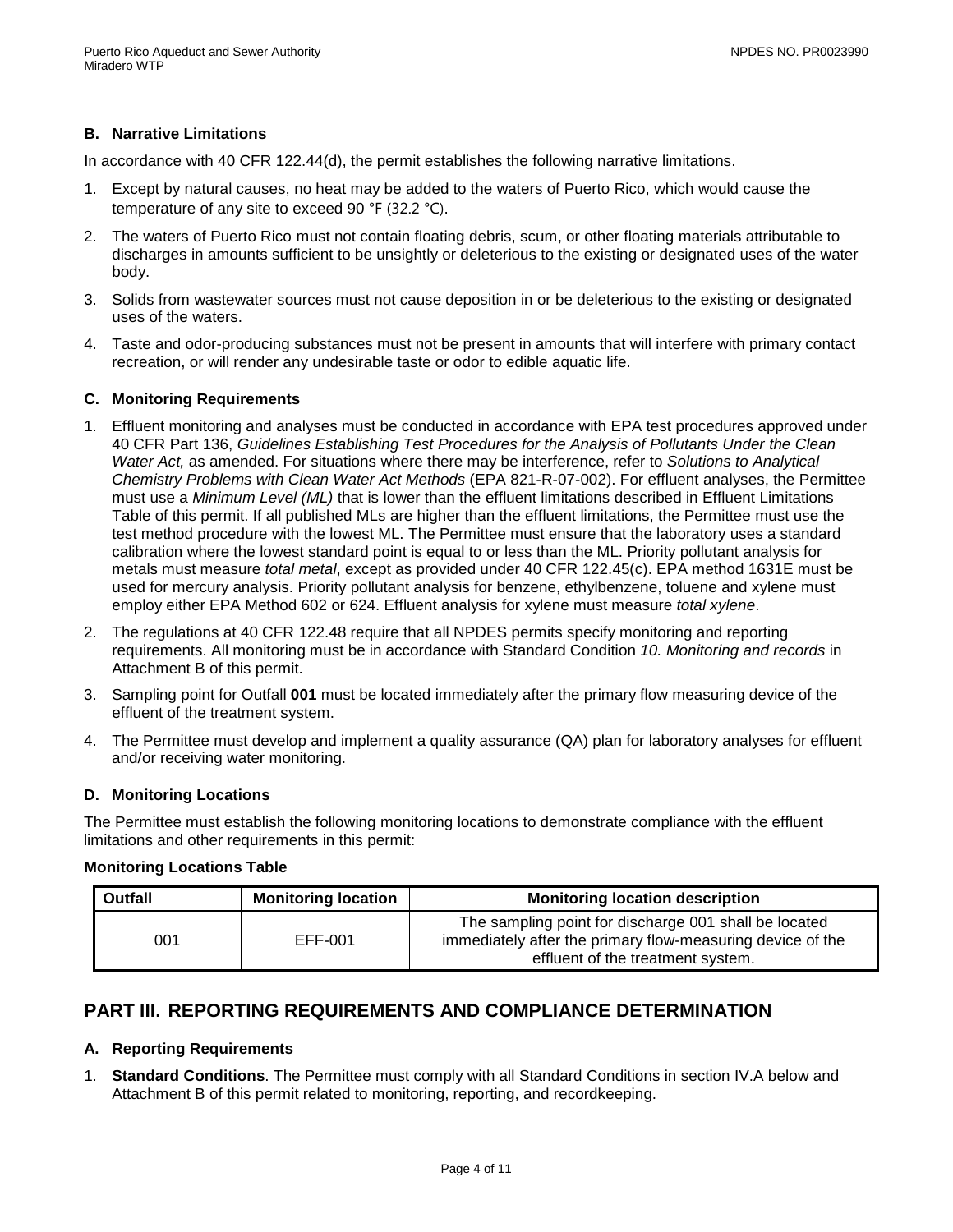## **B. Narrative Limitations**

In accordance with 40 CFR 122.44(d), the permit establishes the following narrative limitations.

- 1. Except by natural causes, no heat may be added to the waters of Puerto Rico, which would cause the temperature of any site to exceed 90 °F (32.2 °C).
- 2. The waters of Puerto Rico must not contain floating debris, scum, or other floating materials attributable to discharges in amounts sufficient to be unsightly or deleterious to the existing or designated uses of the water body.
- 3. Solids from wastewater sources must not cause deposition in or be deleterious to the existing or designated uses of the waters.
- 4. Taste and odor-producing substances must not be present in amounts that will interfere with primary contact recreation, or will render any undesirable taste or odor to edible aquatic life.

### **C. Monitoring Requirements**

- 1. Effluent monitoring and analyses must be conducted in accordance with EPA test procedures approved under 40 CFR Part 136, *Guidelines Establishing Test Procedures for the Analysis of Pollutants Under the Clean Water Act,* as amended. For situations where there may be interference, refer to *Solutions to Analytical Chemistry Problems with Clean Water Act Methods* (EPA 821-R-07-002). For effluent analyses, the Permittee must use a *Minimum Level (ML)* that is lower than the effluent limitations described in Effluent Limitations Table of this permit. If all published MLs are higher than the effluent limitations, the Permittee must use the test method procedure with the lowest ML. The Permittee must ensure that the laboratory uses a standard calibration where the lowest standard point is equal to or less than the ML. Priority pollutant analysis for metals must measure *total metal*, except as provided under 40 CFR 122.45(c). EPA method 1631E must be used for mercury analysis. Priority pollutant analysis for benzene, ethylbenzene, toluene and xylene must employ either EPA Method 602 or 624. Effluent analysis for xylene must measure *total xylene*.
- 2. The regulations at 40 CFR 122.48 require that all NPDES permits specify monitoring and reporting requirements. All monitoring must be in accordance with Standard Condition *10. Monitoring and records* in Attachment B of this permit.
- 3. Sampling point for Outfall **001** must be located immediately after the primary flow measuring device of the effluent of the treatment system.
- 4. The Permittee must develop and implement a quality assurance (QA) plan for laboratory analyses for effluent and/or receiving water monitoring.

#### **D. Monitoring Locations**

The Permittee must establish the following monitoring locations to demonstrate compliance with the effluent limitations and other requirements in this permit:

#### **Monitoring Locations Table**

| <b>Outfall</b> | <b>Monitoring location</b> | <b>Monitoring location description</b>                                                                                                                   |  |
|----------------|----------------------------|----------------------------------------------------------------------------------------------------------------------------------------------------------|--|
| 001            | EFF-001                    | The sampling point for discharge 001 shall be located<br>immediately after the primary flow-measuring device of the<br>effluent of the treatment system. |  |

## <span id="page-5-0"></span>**PART III. REPORTING REQUIREMENTS AND COMPLIANCE DETERMINATION**

#### **A. Reporting Requirements**

1. **Standard Conditions**. The Permittee must comply with all Standard Conditions in section IV.A below and Attachment B of this permit related to monitoring, reporting, and recordkeeping.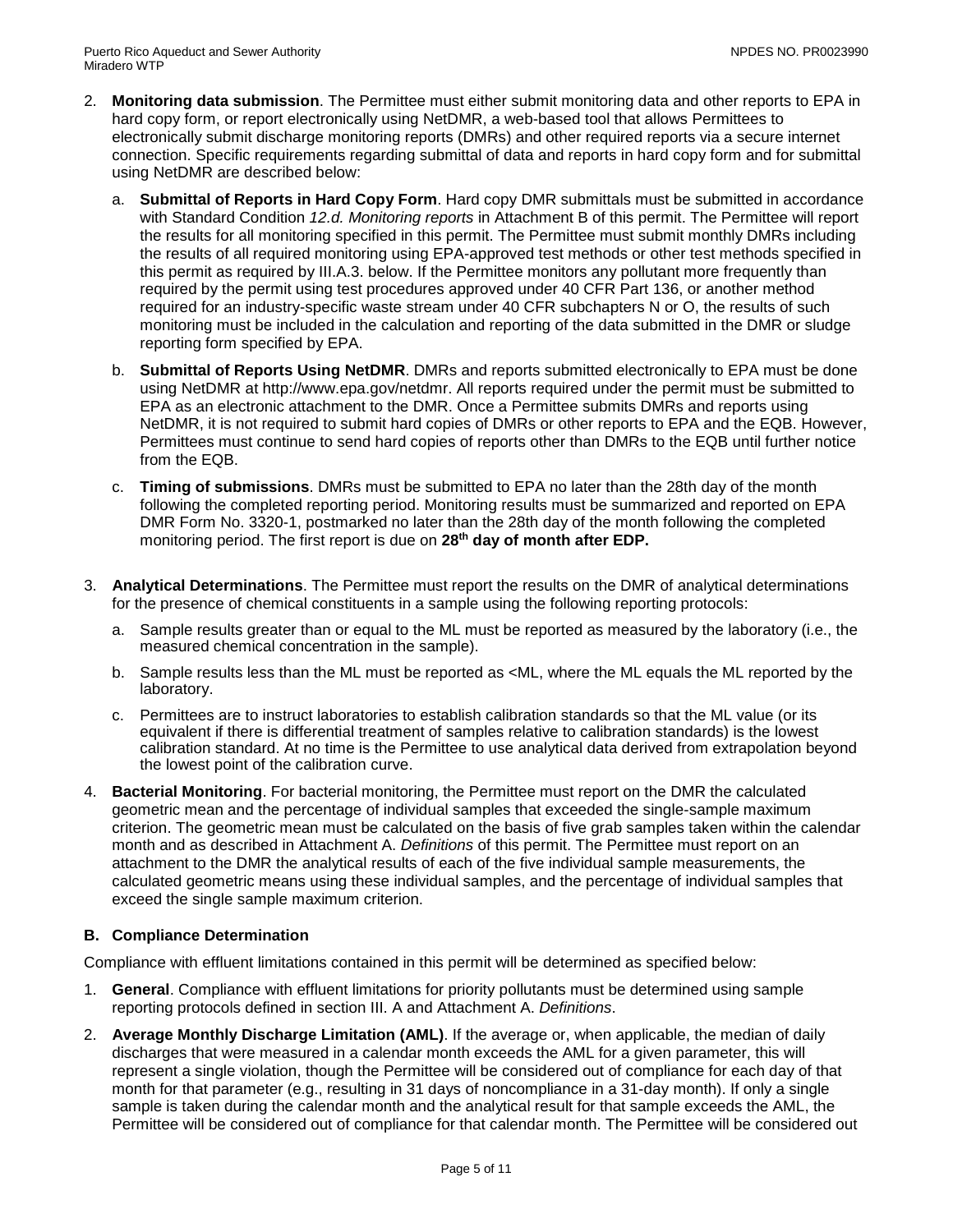- 2. **Monitoring data submission**. The Permittee must either submit monitoring data and other reports to EPA in hard copy form, or report electronically using NetDMR, a web-based tool that allows Permittees to electronically submit discharge monitoring reports (DMRs) and other required reports via a secure internet connection. Specific requirements regarding submittal of data and reports in hard copy form and for submittal using NetDMR are described below:
	- a. **Submittal of Reports in Hard Copy Form**. Hard copy DMR submittals must be submitted in accordance with Standard Condition *12.d. Monitoring reports* in Attachment B of this permit. The Permittee will report the results for all monitoring specified in this permit. The Permittee must submit monthly DMRs including the results of all required monitoring using EPA-approved test methods or other test methods specified in this permit as required by III.A.3. below. If the Permittee monitors any pollutant more frequently than required by the permit using test procedures approved under 40 CFR Part 136, or another method required for an industry-specific waste stream under 40 CFR subchapters N or O, the results of such monitoring must be included in the calculation and reporting of the data submitted in the DMR or sludge reporting form specified by EPA.
	- b. **Submittal of Reports Using NetDMR**. DMRs and reports submitted electronically to EPA must be done using NetDMR at http://www.epa.gov/netdmr. All reports required under the permit must be submitted to EPA as an electronic attachment to the DMR. Once a Permittee submits DMRs and reports using NetDMR, it is not required to submit hard copies of DMRs or other reports to EPA and the EQB. However, Permittees must continue to send hard copies of reports other than DMRs to the EQB until further notice from the EQB.
	- c. **Timing of submissions**. DMRs must be submitted to EPA no later than the 28th day of the month following the completed reporting period. Monitoring results must be summarized and reported on EPA DMR Form No. 3320-1, postmarked no later than the 28th day of the month following the completed monitoring period. The first report is due on **28th day of month after EDP.**
- 3. **Analytical Determinations**. The Permittee must report the results on the DMR of analytical determinations for the presence of chemical constituents in a sample using the following reporting protocols:
	- a. Sample results greater than or equal to the ML must be reported as measured by the laboratory (i.e., the measured chemical concentration in the sample).
	- b. Sample results less than the ML must be reported as <ML, where the ML equals the ML reported by the laboratory.
	- c. Permittees are to instruct laboratories to establish calibration standards so that the ML value (or its equivalent if there is differential treatment of samples relative to calibration standards) is the lowest calibration standard. At no time is the Permittee to use analytical data derived from extrapolation beyond the lowest point of the calibration curve.
- 4. **Bacterial Monitoring**. For bacterial monitoring, the Permittee must report on the DMR the calculated geometric mean and the percentage of individual samples that exceeded the single-sample maximum criterion. The geometric mean must be calculated on the basis of five grab samples taken within the calendar month and as described in Attachment A. *Definitions* of this permit. The Permittee must report on an attachment to the DMR the analytical results of each of the five individual sample measurements, the calculated geometric means using these individual samples, and the percentage of individual samples that exceed the single sample maximum criterion.

## **B. Compliance Determination**

Compliance with effluent limitations contained in this permit will be determined as specified below:

- 1. **General**. Compliance with effluent limitations for priority pollutants must be determined using sample reporting protocols defined in section III. A and Attachment A. *Definitions*.
- 2. **Average Monthly Discharge Limitation (AML)**. If the average or, when applicable, the median of daily discharges that were measured in a calendar month exceeds the AML for a given parameter, this will represent a single violation, though the Permittee will be considered out of compliance for each day of that month for that parameter (e.g., resulting in 31 days of noncompliance in a 31-day month). If only a single sample is taken during the calendar month and the analytical result for that sample exceeds the AML, the Permittee will be considered out of compliance for that calendar month. The Permittee will be considered out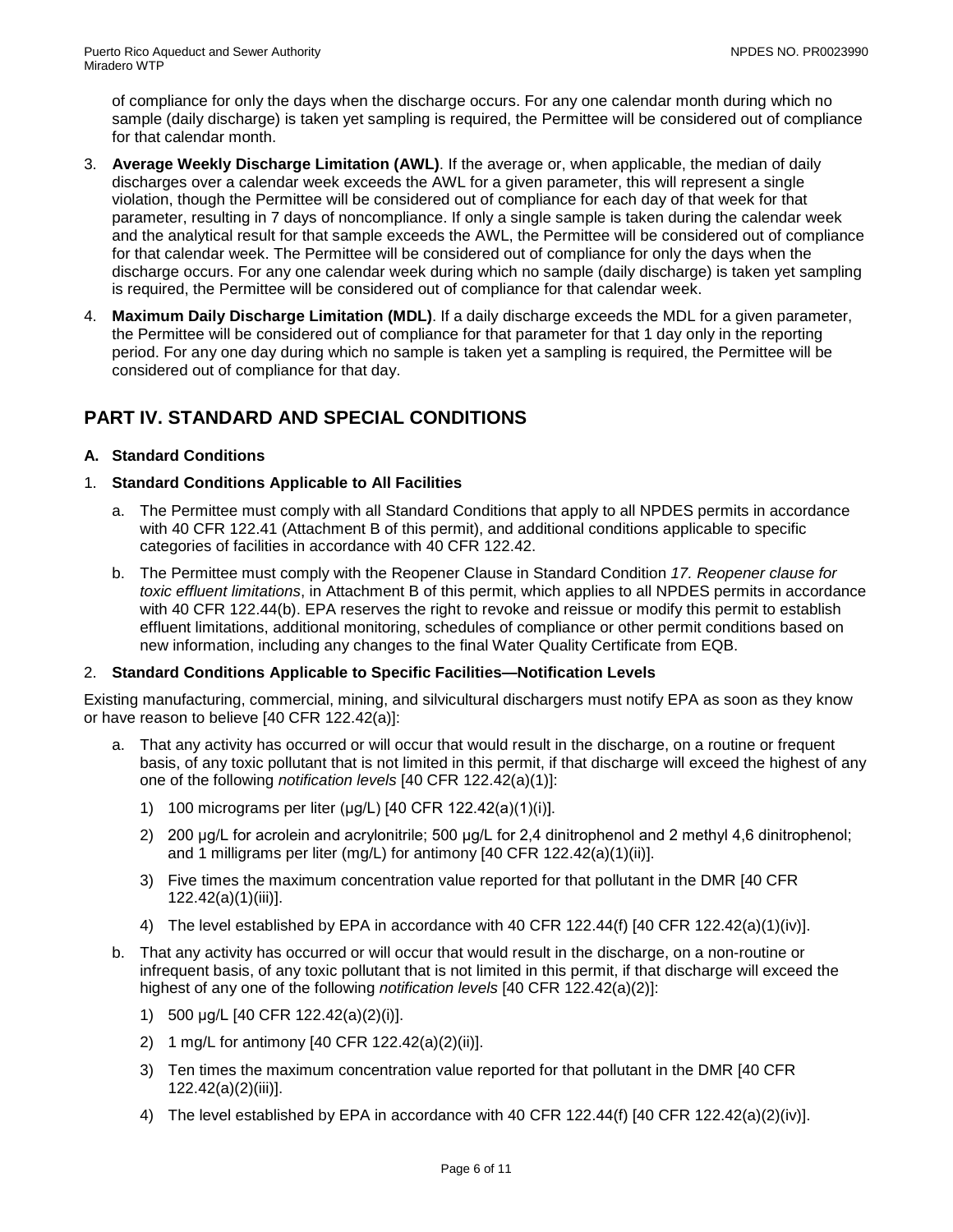of compliance for only the days when the discharge occurs. For any one calendar month during which no sample (daily discharge) is taken yet sampling is required, the Permittee will be considered out of compliance for that calendar month.

- 3. **Average Weekly Discharge Limitation (AWL)**. If the average or, when applicable, the median of daily discharges over a calendar week exceeds the AWL for a given parameter, this will represent a single violation, though the Permittee will be considered out of compliance for each day of that week for that parameter, resulting in 7 days of noncompliance. If only a single sample is taken during the calendar week and the analytical result for that sample exceeds the AWL, the Permittee will be considered out of compliance for that calendar week. The Permittee will be considered out of compliance for only the days when the discharge occurs. For any one calendar week during which no sample (daily discharge) is taken yet sampling is required, the Permittee will be considered out of compliance for that calendar week.
- 4. **Maximum Daily Discharge Limitation (MDL)**. If a daily discharge exceeds the MDL for a given parameter, the Permittee will be considered out of compliance for that parameter for that 1 day only in the reporting period. For any one day during which no sample is taken yet a sampling is required, the Permittee will be considered out of compliance for that day.

# <span id="page-7-0"></span>**PART IV. STANDARD AND SPECIAL CONDITIONS**

## **A. Standard Conditions**

## 1. **Standard Conditions Applicable to All Facilities**

- a. The Permittee must comply with all Standard Conditions that apply to all NPDES permits in accordance with 40 CFR 122.41 (Attachment B of this permit), and additional conditions applicable to specific categories of facilities in accordance with 40 CFR 122.42.
- b. The Permittee must comply with the Reopener Clause in Standard Condition *17. Reopener clause for toxic effluent limitations*, in Attachment B of this permit, which applies to all NPDES permits in accordance with 40 CFR 122.44(b). EPA reserves the right to revoke and reissue or modify this permit to establish effluent limitations, additional monitoring, schedules of compliance or other permit conditions based on new information, including any changes to the final Water Quality Certificate from EQB.

## 2. **Standard Conditions Applicable to Specific Facilities—Notification Levels**

Existing manufacturing, commercial, mining, and silvicultural dischargers must notify EPA as soon as they know or have reason to believe [40 CFR 122.42(a)]:

- a. That any activity has occurred or will occur that would result in the discharge, on a routine or frequent basis, of any toxic pollutant that is not limited in this permit, if that discharge will exceed the highest of any one of the following *notification levels* [40 CFR 122.42(a)(1)]:
	- 1) 100 micrograms per liter (μg/L) [40 CFR 122.42(a)(1)(i)].
	- 2) 200 μg/L for acrolein and acrylonitrile; 500 μg/L for 2,4 dinitrophenol and 2 methyl 4,6 dinitrophenol; and 1 milligrams per liter (mg/L) for antimony [40 CFR 122.42(a)(1)(ii)].
	- 3) Five times the maximum concentration value reported for that pollutant in the DMR [40 CFR 122.42(a)(1)(iii)].
	- 4) The level established by EPA in accordance with 40 CFR 122.44(f) [40 CFR 122.42(a)(1)(iv)].
- b. That any activity has occurred or will occur that would result in the discharge, on a non-routine or infrequent basis, of any toxic pollutant that is not limited in this permit, if that discharge will exceed the highest of any one of the following *notification levels* [40 CFR 122.42(a)(2)]:
	- 1) 500 μg/L [40 CFR 122.42(a)(2)(i)].
	- 2) 1 mg/L for antimony [40 CFR 122.42(a)(2)(ii)].
	- 3) Ten times the maximum concentration value reported for that pollutant in the DMR [40 CFR 122.42(a)(2)(iii)].
	- 4) The level established by EPA in accordance with 40 CFR 122.44(f) [40 CFR 122.42(a)(2)(iv)].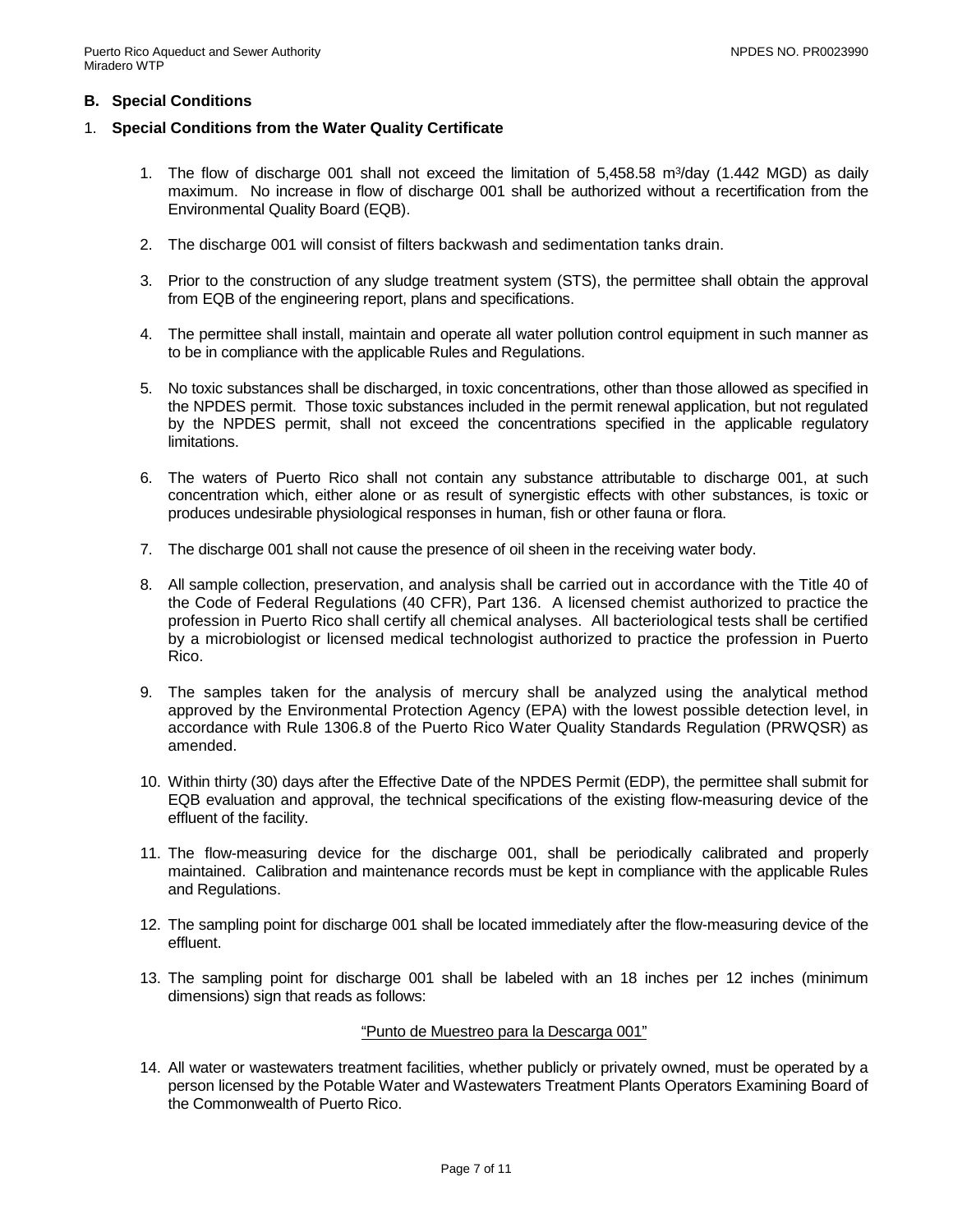### **B. Special Conditions**

- 1. **Special Conditions from the Water Quality Certificate**
	- 1. The flow of discharge 001 shall not exceed the limitation of 5,458.58 m<sup>3</sup>/day (1.442 MGD) as daily maximum. No increase in flow of discharge 001 shall be authorized without a recertification from the Environmental Quality Board (EQB).
	- 2. The discharge 001 will consist of filters backwash and sedimentation tanks drain.
	- 3. Prior to the construction of any sludge treatment system (STS), the permittee shall obtain the approval from EQB of the engineering report, plans and specifications.
	- 4. The permittee shall install, maintain and operate all water pollution control equipment in such manner as to be in compliance with the applicable Rules and Regulations.
	- 5. No toxic substances shall be discharged, in toxic concentrations, other than those allowed as specified in the NPDES permit. Those toxic substances included in the permit renewal application, but not regulated by the NPDES permit, shall not exceed the concentrations specified in the applicable regulatory limitations.
	- 6. The waters of Puerto Rico shall not contain any substance attributable to discharge 001, at such concentration which, either alone or as result of synergistic effects with other substances, is toxic or produces undesirable physiological responses in human, fish or other fauna or flora.
	- 7. The discharge 001 shall not cause the presence of oil sheen in the receiving water body.
	- 8. All sample collection, preservation, and analysis shall be carried out in accordance with the Title 40 of the Code of Federal Regulations (40 CFR), Part 136. A licensed chemist authorized to practice the profession in Puerto Rico shall certify all chemical analyses. All bacteriological tests shall be certified by a microbiologist or licensed medical technologist authorized to practice the profession in Puerto Rico.
	- 9. The samples taken for the analysis of mercury shall be analyzed using the analytical method approved by the Environmental Protection Agency (EPA) with the lowest possible detection level, in accordance with Rule 1306.8 of the Puerto Rico Water Quality Standards Regulation (PRWQSR) as amended.
	- 10. Within thirty (30) days after the Effective Date of the NPDES Permit (EDP), the permittee shall submit for EQB evaluation and approval, the technical specifications of the existing flow-measuring device of the effluent of the facility.
	- 11. The flow-measuring device for the discharge 001, shall be periodically calibrated and properly maintained. Calibration and maintenance records must be kept in compliance with the applicable Rules and Regulations.
	- 12. The sampling point for discharge 001 shall be located immediately after the flow-measuring device of the effluent.
	- 13. The sampling point for discharge 001 shall be labeled with an 18 inches per 12 inches (minimum dimensions) sign that reads as follows:

#### "Punto de Muestreo para la Descarga 001"

14. All water or wastewaters treatment facilities, whether publicly or privately owned, must be operated by a person licensed by the Potable Water and Wastewaters Treatment Plants Operators Examining Board of the Commonwealth of Puerto Rico.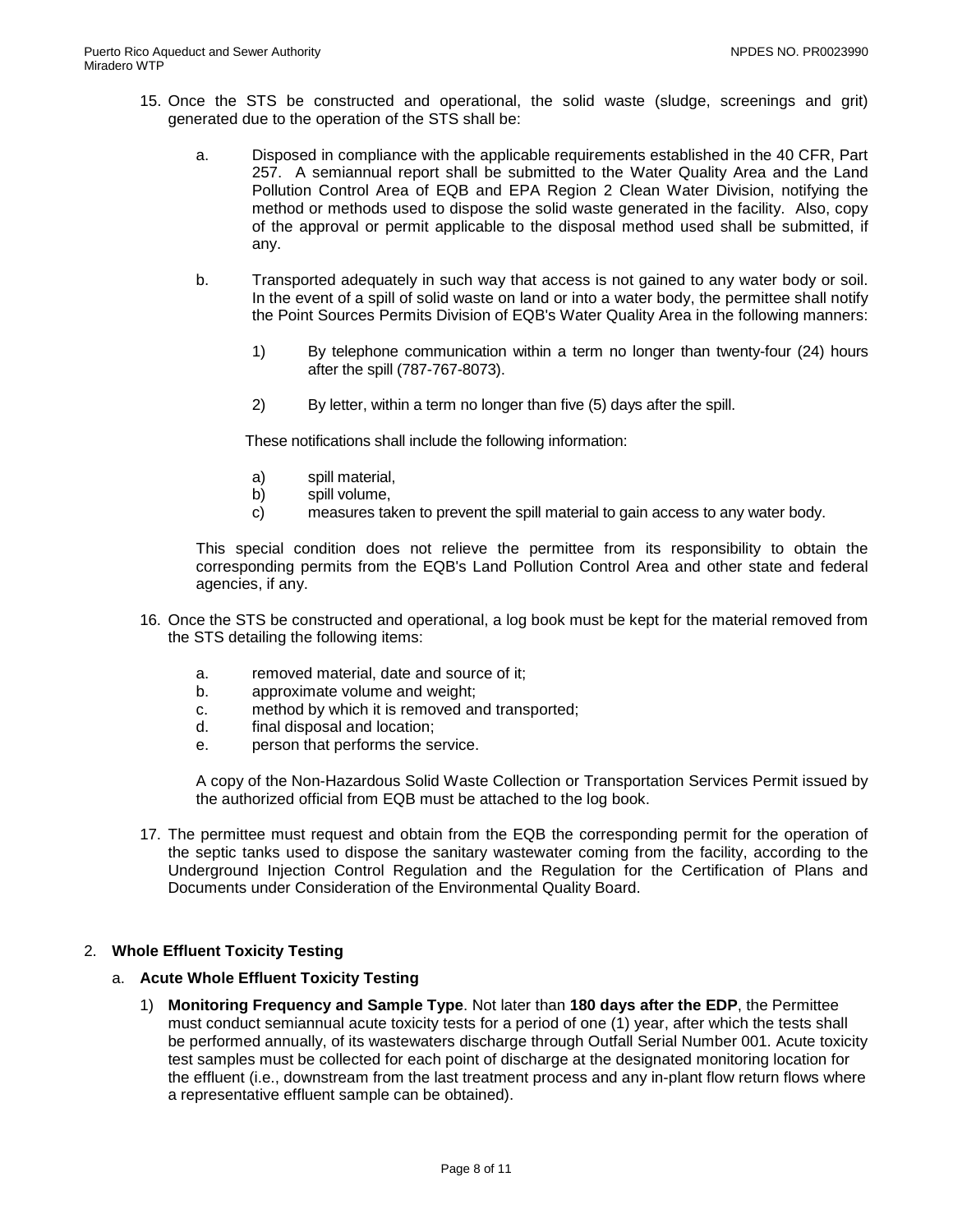- 15. Once the STS be constructed and operational, the solid waste (sludge, screenings and grit) generated due to the operation of the STS shall be:
	- a. Disposed in compliance with the applicable requirements established in the 40 CFR, Part 257. A semiannual report shall be submitted to the Water Quality Area and the Land Pollution Control Area of EQB and EPA Region 2 Clean Water Division, notifying the method or methods used to dispose the solid waste generated in the facility. Also, copy of the approval or permit applicable to the disposal method used shall be submitted, if any.
	- b. Transported adequately in such way that access is not gained to any water body or soil. In the event of a spill of solid waste on land or into a water body, the permittee shall notify the Point Sources Permits Division of EQB's Water Quality Area in the following manners:
		- 1) By telephone communication within a term no longer than twenty-four (24) hours after the spill (787-767-8073).
		- 2) By letter, within a term no longer than five (5) days after the spill.

These notifications shall include the following information:

- a) spill material,
- b) spill volume,
- c) measures taken to prevent the spill material to gain access to any water body.

This special condition does not relieve the permittee from its responsibility to obtain the corresponding permits from the EQB's Land Pollution Control Area and other state and federal agencies, if any.

- 16. Once the STS be constructed and operational, a log book must be kept for the material removed from the STS detailing the following items:
	- a. removed material, date and source of it;<br>b approximate volume and weight:
	- approximate volume and weight;
	- c. method by which it is removed and transported;
	- d. final disposal and location;
	- e. person that performs the service.

A copy of the Non-Hazardous Solid Waste Collection or Transportation Services Permit issued by the authorized official from EQB must be attached to the log book.

17. The permittee must request and obtain from the EQB the corresponding permit for the operation of the septic tanks used to dispose the sanitary wastewater coming from the facility, according to the Underground Injection Control Regulation and the Regulation for the Certification of Plans and Documents under Consideration of the Environmental Quality Board.

#### 2. **Whole Effluent Toxicity Testing**

#### a. **Acute Whole Effluent Toxicity Testing**

1) **Monitoring Frequency and Sample Type**. Not later than **180 days after the EDP**, the Permittee must conduct semiannual acute toxicity tests for a period of one (1) year, after which the tests shall be performed annually, of its wastewaters discharge through Outfall Serial Number 001. Acute toxicity test samples must be collected for each point of discharge at the designated monitoring location for the effluent (i.e., downstream from the last treatment process and any in-plant flow return flows where a representative effluent sample can be obtained).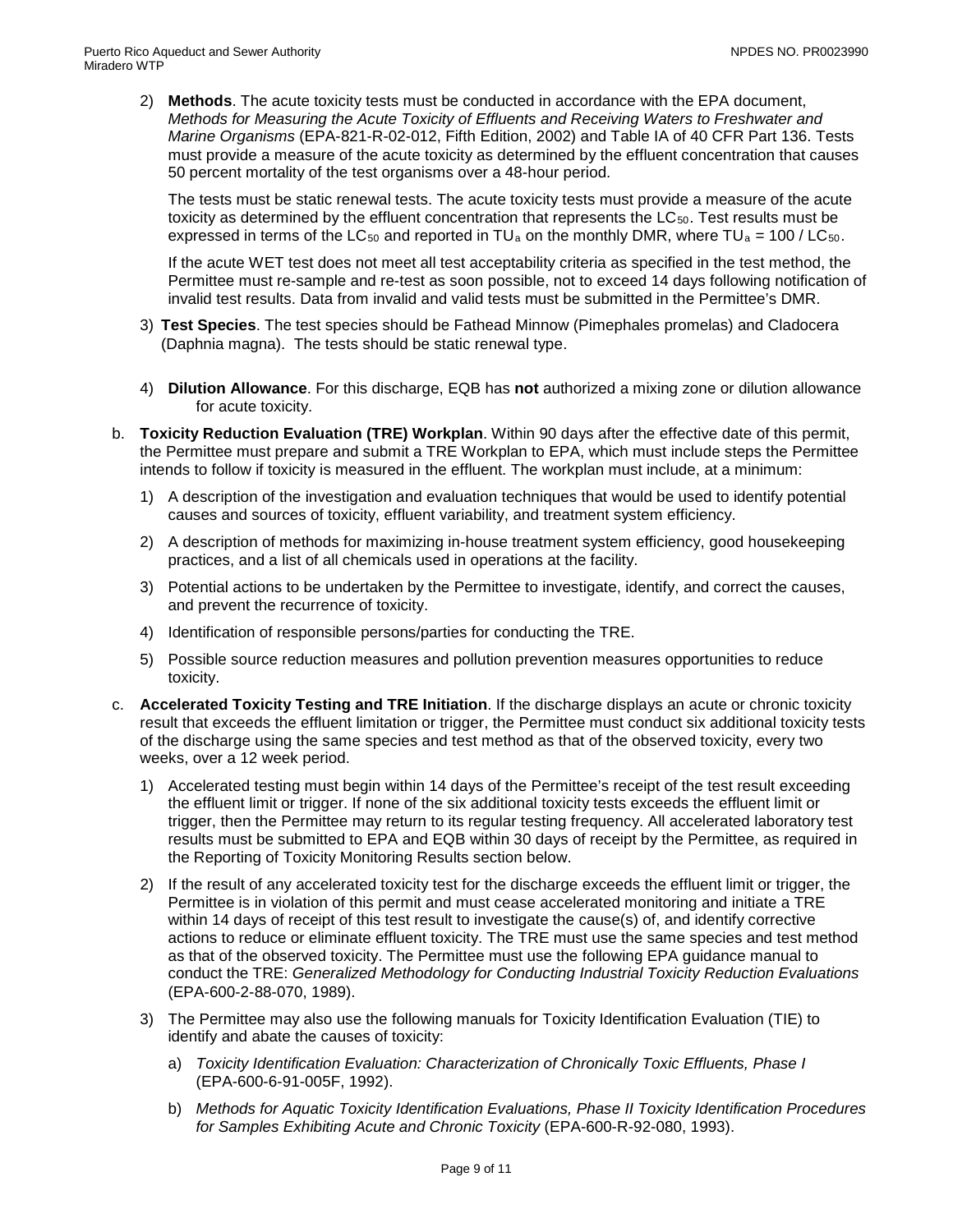2) **Methods**. The acute toxicity tests must be conducted in accordance with the EPA document, *Methods for Measuring the Acute Toxicity of Effluents and Receiving Waters to Freshwater and Marine Organisms* (EPA-821-R-02-012, Fifth Edition, 2002) and Table IA of 40 CFR Part 136. Tests must provide a measure of the acute toxicity as determined by the effluent concentration that causes 50 percent mortality of the test organisms over a 48-hour period.

The tests must be static renewal tests. The acute toxicity tests must provide a measure of the acute toxicity as determined by the effluent concentration that represents the  $LC_{50}$ . Test results must be expressed in terms of the LC<sub>50</sub> and reported in TU<sub>a</sub> on the monthly DMR, where TU<sub>a</sub> = 100 / LC<sub>50</sub>.

If the acute WET test does not meet all test acceptability criteria as specified in the test method, the Permittee must re-sample and re-test as soon possible, not to exceed 14 days following notification of invalid test results. Data from invalid and valid tests must be submitted in the Permittee's DMR.

- 3) **Test Species**. The test species should be Fathead Minnow (Pimephales promelas) and Cladocera (Daphnia magna). The tests should be static renewal type.
- 4) **Dilution Allowance**. For this discharge, EQB has **not** authorized a mixing zone or dilution allowance for acute toxicity.
- b. **Toxicity Reduction Evaluation (TRE) Workplan**. Within 90 days after the effective date of this permit, the Permittee must prepare and submit a TRE Workplan to EPA, which must include steps the Permittee intends to follow if toxicity is measured in the effluent. The workplan must include, at a minimum:
	- 1) A description of the investigation and evaluation techniques that would be used to identify potential causes and sources of toxicity, effluent variability, and treatment system efficiency.
	- 2) A description of methods for maximizing in-house treatment system efficiency, good housekeeping practices, and a list of all chemicals used in operations at the facility.
	- 3) Potential actions to be undertaken by the Permittee to investigate, identify, and correct the causes, and prevent the recurrence of toxicity.
	- 4) Identification of responsible persons/parties for conducting the TRE.
	- 5) Possible source reduction measures and pollution prevention measures opportunities to reduce toxicity.
- c. **Accelerated Toxicity Testing and TRE Initiation**. If the discharge displays an acute or chronic toxicity result that exceeds the effluent limitation or trigger, the Permittee must conduct six additional toxicity tests of the discharge using the same species and test method as that of the observed toxicity, every two weeks, over a 12 week period.
	- 1) Accelerated testing must begin within 14 days of the Permittee's receipt of the test result exceeding the effluent limit or trigger. If none of the six additional toxicity tests exceeds the effluent limit or trigger, then the Permittee may return to its regular testing frequency. All accelerated laboratory test results must be submitted to EPA and EQB within 30 days of receipt by the Permittee, as required in the Reporting of Toxicity Monitoring Results section below.
	- 2) If the result of any accelerated toxicity test for the discharge exceeds the effluent limit or trigger, the Permittee is in violation of this permit and must cease accelerated monitoring and initiate a TRE within 14 days of receipt of this test result to investigate the cause(s) of, and identify corrective actions to reduce or eliminate effluent toxicity. The TRE must use the same species and test method as that of the observed toxicity. The Permittee must use the following EPA guidance manual to conduct the TRE: *Generalized Methodology for Conducting Industrial Toxicity Reduction Evaluations* (EPA-600-2-88-070, 1989).
	- 3) The Permittee may also use the following manuals for Toxicity Identification Evaluation (TIE) to identify and abate the causes of toxicity:
		- a) *Toxicity Identification Evaluation: Characterization of Chronically Toxic Effluents, Phase I*  (EPA-600-6-91-005F, 1992).
		- b) *Methods for Aquatic Toxicity Identification Evaluations, Phase II Toxicity Identification Procedures for Samples Exhibiting Acute and Chronic Toxicity* (EPA-600-R-92-080, 1993).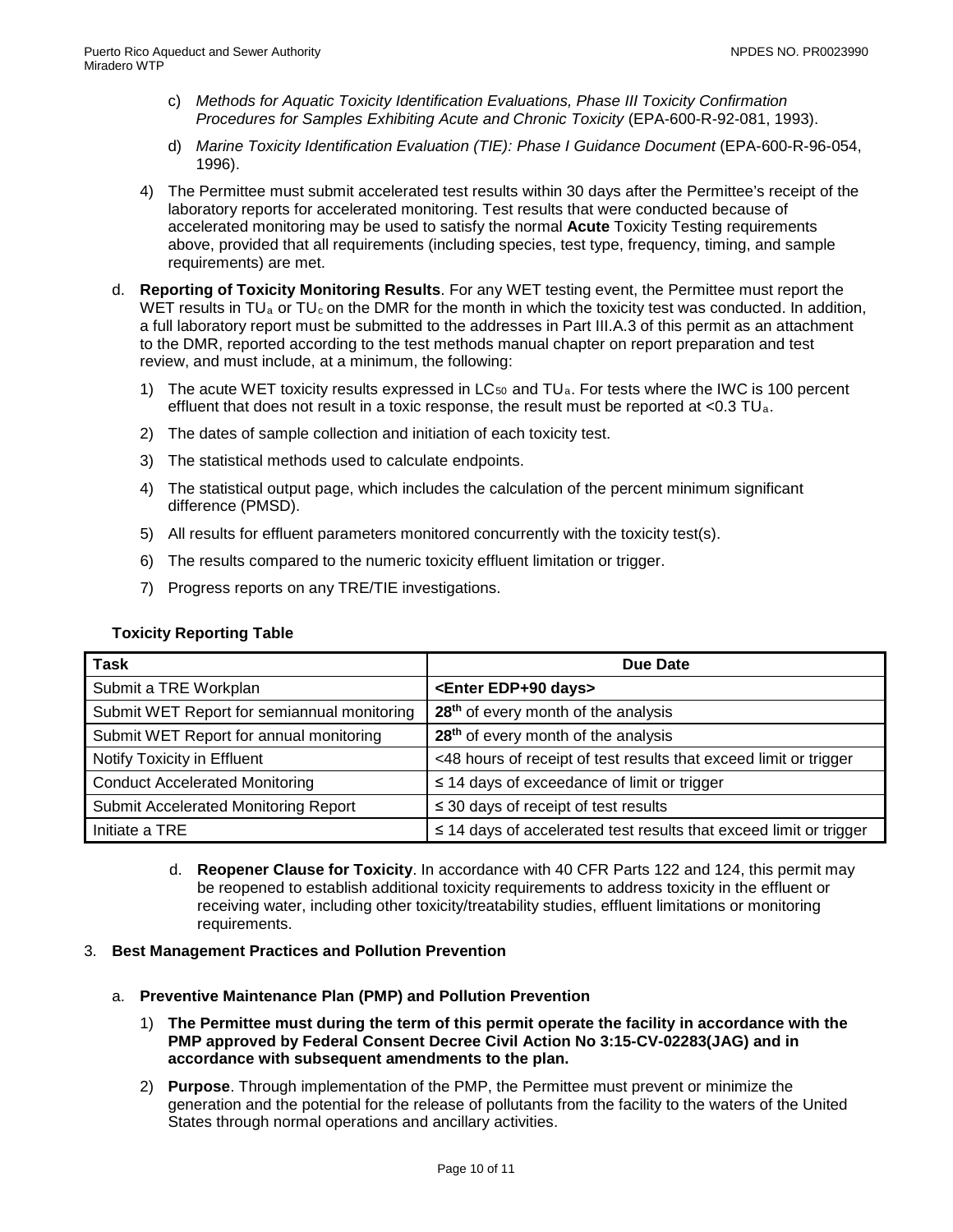- c) *Methods for Aquatic Toxicity Identification Evaluations, Phase III Toxicity Confirmation Procedures for Samples Exhibiting Acute and Chronic Toxicity* (EPA-600-R-92-081, 1993).
- d) *Marine Toxicity Identification Evaluation (TIE): Phase I Guidance Document* (EPA-600-R-96-054, 1996).
- 4) The Permittee must submit accelerated test results within 30 days after the Permittee's receipt of the laboratory reports for accelerated monitoring. Test results that were conducted because of accelerated monitoring may be used to satisfy the normal **Acute** Toxicity Testing requirements above, provided that all requirements (including species, test type, frequency, timing, and sample requirements) are met.
- d. **Reporting of Toxicity Monitoring Results**. For any WET testing event, the Permittee must report the WET results in TU<sub>a</sub> or TU<sub>c</sub> on the DMR for the month in which the toxicity test was conducted. In addition, a full laboratory report must be submitted to the addresses in Part III.A.3 of this permit as an attachment to the DMR, reported according to the test methods manual chapter on report preparation and test review, and must include, at a minimum, the following:
	- 1) The acute WET toxicity results expressed in  $LC_{50}$  and  $TU_a$ . For tests where the IWC is 100 percent effluent that does not result in a toxic response, the result must be reported at  $< 0.3$  TU<sub>a</sub>.
	- 2) The dates of sample collection and initiation of each toxicity test.
	- 3) The statistical methods used to calculate endpoints.
	- 4) The statistical output page, which includes the calculation of the percent minimum significant difference (PMSD).
	- 5) All results for effluent parameters monitored concurrently with the toxicity test(s).
	- 6) The results compared to the numeric toxicity effluent limitation or trigger.
	- 7) Progress reports on any TRE/TIE investigations.

#### **Toxicity Reporting Table**

| Task                                        | Due Date                                                                |
|---------------------------------------------|-------------------------------------------------------------------------|
| Submit a TRE Workplan                       | <enter days="" edp+90=""></enter>                                       |
| Submit WET Report for semiannual monitoring | 28 <sup>th</sup> of every month of the analysis                         |
| Submit WET Report for annual monitoring     | 28 <sup>th</sup> of every month of the analysis                         |
| Notify Toxicity in Effluent                 | <48 hours of receipt of test results that exceed limit or trigger       |
| <b>Conduct Accelerated Monitoring</b>       | $\leq$ 14 days of exceedance of limit or trigger                        |
| Submit Accelerated Monitoring Report        | $\leq$ 30 days of receipt of test results                               |
| Initiate a TRE                              | $\leq$ 14 days of accelerated test results that exceed limit or trigger |

d. **Reopener Clause for Toxicity**. In accordance with 40 CFR Parts 122 and 124, this permit may be reopened to establish additional toxicity requirements to address toxicity in the effluent or receiving water, including other toxicity/treatability studies, effluent limitations or monitoring requirements.

#### 3. **Best Management Practices and Pollution Prevention**

- a. **Preventive Maintenance Plan (PMP) and Pollution Prevention**
	- 1) **The Permittee must during the term of this permit operate the facility in accordance with the PMP approved by Federal Consent Decree Civil Action No 3:15-CV-02283(JAG) and in accordance with subsequent amendments to the plan.**
	- 2) **Purpose**. Through implementation of the PMP, the Permittee must prevent or minimize the generation and the potential for the release of pollutants from the facility to the waters of the United States through normal operations and ancillary activities.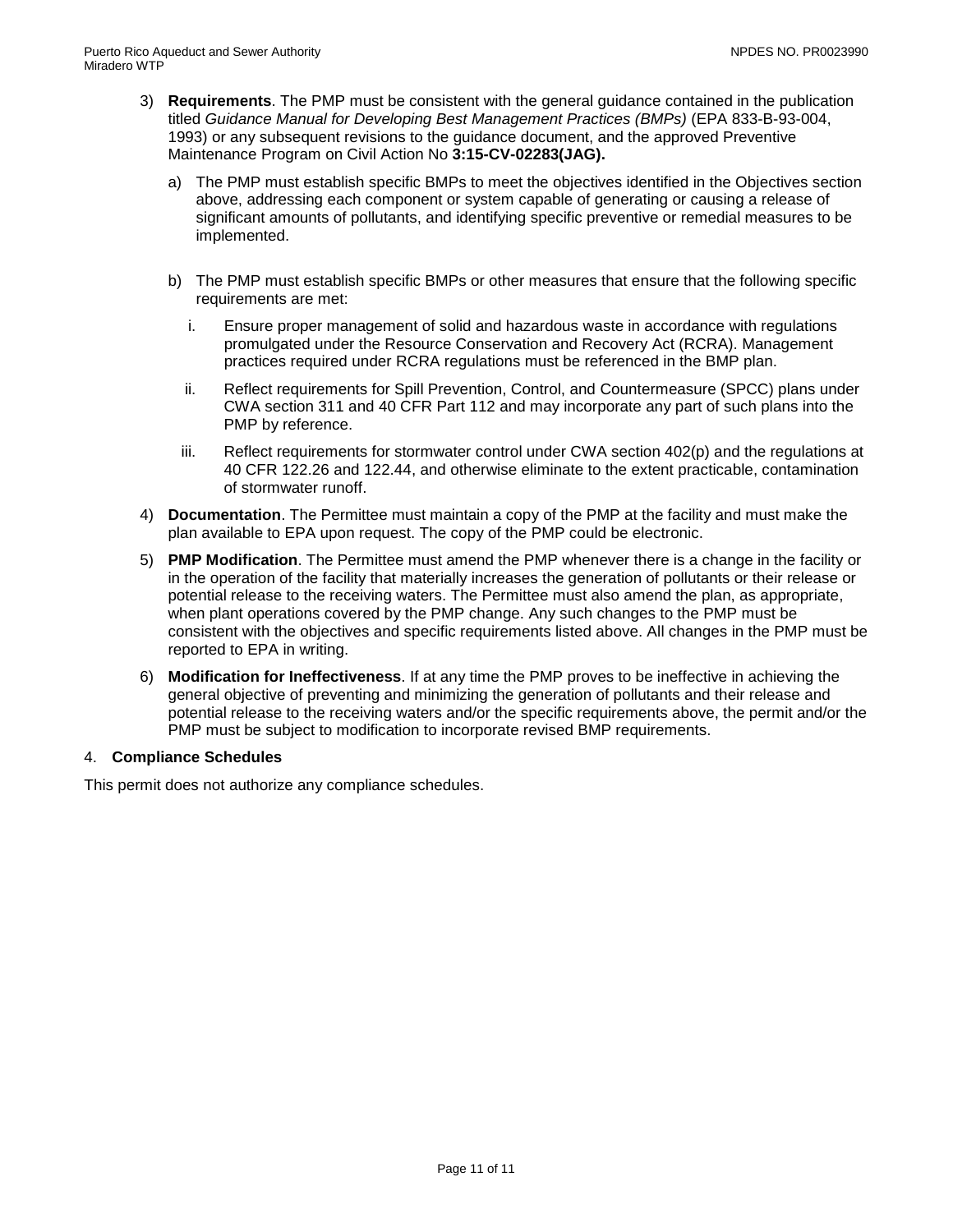- 3) **Requirements**. The PMP must be consistent with the general guidance contained in the publication titled *Guidance Manual for Developing Best Management Practices (BMPs)* (EPA 833-B-93-004, 1993) or any subsequent revisions to the guidance document, and the approved Preventive Maintenance Program on Civil Action No **3:15-CV-02283(JAG).**
	- a) The PMP must establish specific BMPs to meet the objectives identified in the Objectives section above, addressing each component or system capable of generating or causing a release of significant amounts of pollutants, and identifying specific preventive or remedial measures to be implemented.
	- b) The PMP must establish specific BMPs or other measures that ensure that the following specific requirements are met:
		- i. Ensure proper management of solid and hazardous waste in accordance with regulations promulgated under the Resource Conservation and Recovery Act (RCRA). Management practices required under RCRA regulations must be referenced in the BMP plan.
		- ii. Reflect requirements for Spill Prevention, Control, and Countermeasure (SPCC) plans under CWA section 311 and 40 CFR Part 112 and may incorporate any part of such plans into the PMP by reference.
		- iii. Reflect requirements for stormwater control under CWA section 402(p) and the regulations at 40 CFR 122.26 and 122.44, and otherwise eliminate to the extent practicable, contamination of stormwater runoff.
- 4) **Documentation**. The Permittee must maintain a copy of the PMP at the facility and must make the plan available to EPA upon request. The copy of the PMP could be electronic.
- 5) **PMP Modification**. The Permittee must amend the PMP whenever there is a change in the facility or in the operation of the facility that materially increases the generation of pollutants or their release or potential release to the receiving waters. The Permittee must also amend the plan, as appropriate, when plant operations covered by the PMP change. Any such changes to the PMP must be consistent with the objectives and specific requirements listed above. All changes in the PMP must be reported to EPA in writing.
- <span id="page-12-0"></span>6) **Modification for Ineffectiveness**. If at any time the PMP proves to be ineffective in achieving the general objective of preventing and minimizing the generation of pollutants and their release and potential release to the receiving waters and/or the specific requirements above, the permit and/or the PMP must be subject to modification to incorporate revised BMP requirements.

## 4. **Compliance Schedules**

This permit does not authorize any compliance schedules.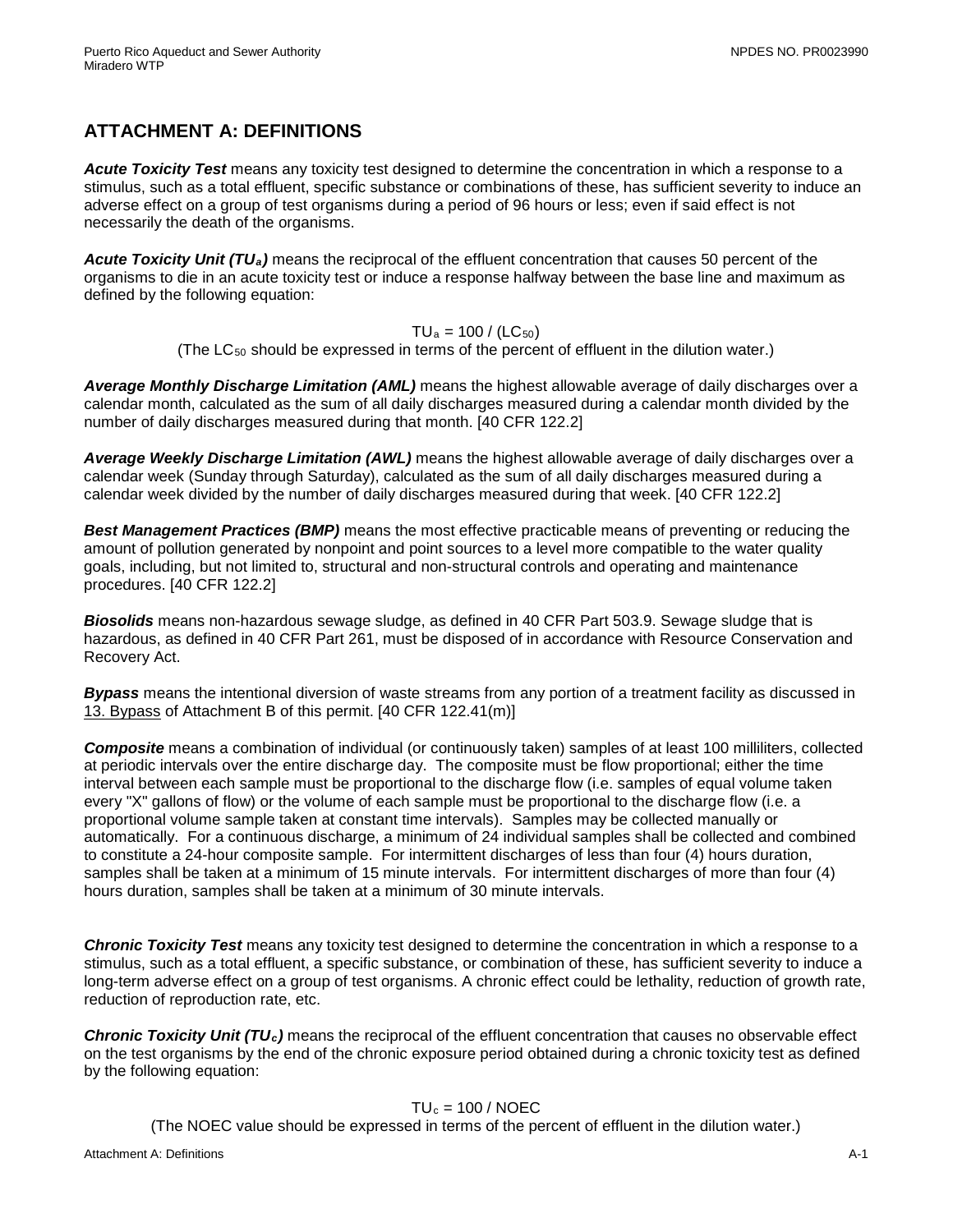# **ATTACHMENT A: DEFINITIONS**

*Acute Toxicity Test* means any toxicity test designed to determine the concentration in which a response to a stimulus, such as a total effluent, specific substance or combinations of these, has sufficient severity to induce an adverse effect on a group of test organisms during a period of 96 hours or less; even if said effect is not necessarily the death of the organisms.

*Acute Toxicity Unit (TUa)* means the reciprocal of the effluent concentration that causes 50 percent of the organisms to die in an acute toxicity test or induce a response halfway between the base line and maximum as defined by the following equation:

 $TU_a = 100 / (LC_{50})$ 

(The  $LC_{50}$  should be expressed in terms of the percent of effluent in the dilution water.)

*Average Monthly Discharge Limitation (AML)* means the highest allowable average of daily discharges over a calendar month, calculated as the sum of all daily discharges measured during a calendar month divided by the number of daily discharges measured during that month. [40 CFR 122.2]

*Average Weekly Discharge Limitation (AWL)* means the highest allowable average of daily discharges over a calendar week (Sunday through Saturday), calculated as the sum of all daily discharges measured during a calendar week divided by the number of daily discharges measured during that week. [40 CFR 122.2]

*Best Management Practices (BMP)* means the most effective practicable means of preventing or reducing the amount of pollution generated by nonpoint and point sources to a level more compatible to the water quality goals, including, but not limited to, structural and non-structural controls and operating and maintenance procedures. [40 CFR 122.2]

*Biosolids* means non-hazardous sewage sludge, as defined in 40 CFR Part 503.9. Sewage sludge that is hazardous, as defined in 40 CFR Part 261, must be disposed of in accordance with Resource Conservation and Recovery Act.

*Bypass* means the intentional diversion of waste streams from any portion of a treatment facility as discussed in 13. Bypass of Attachment B of this permit. [40 CFR 122.41(m)]

*Composite* means a combination of individual (or continuously taken) samples of at least 100 milliliters, collected at periodic intervals over the entire discharge day. The composite must be flow proportional; either the time interval between each sample must be proportional to the discharge flow (i.e. samples of equal volume taken every "X" gallons of flow) or the volume of each sample must be proportional to the discharge flow (i.e. a proportional volume sample taken at constant time intervals). Samples may be collected manually or automatically. For a continuous discharge, a minimum of 24 individual samples shall be collected and combined to constitute a 24-hour composite sample. For intermittent discharges of less than four (4) hours duration, samples shall be taken at a minimum of 15 minute intervals. For intermittent discharges of more than four (4) hours duration, samples shall be taken at a minimum of 30 minute intervals.

*Chronic Toxicity Test* means any toxicity test designed to determine the concentration in which a response to a stimulus, such as a total effluent, a specific substance, or combination of these, has sufficient severity to induce a long-term adverse effect on a group of test organisms. A chronic effect could be lethality, reduction of growth rate, reduction of reproduction rate, etc.

*Chronic Toxicity Unit (TUc)* means the reciprocal of the effluent concentration that causes no observable effect on the test organisms by the end of the chronic exposure period obtained during a chronic toxicity test as defined by the following equation:

## $TU_c = 100 / NOEC$

(The NOEC value should be expressed in terms of the percent of effluent in the dilution water.)

Attachment A: Definitions A-1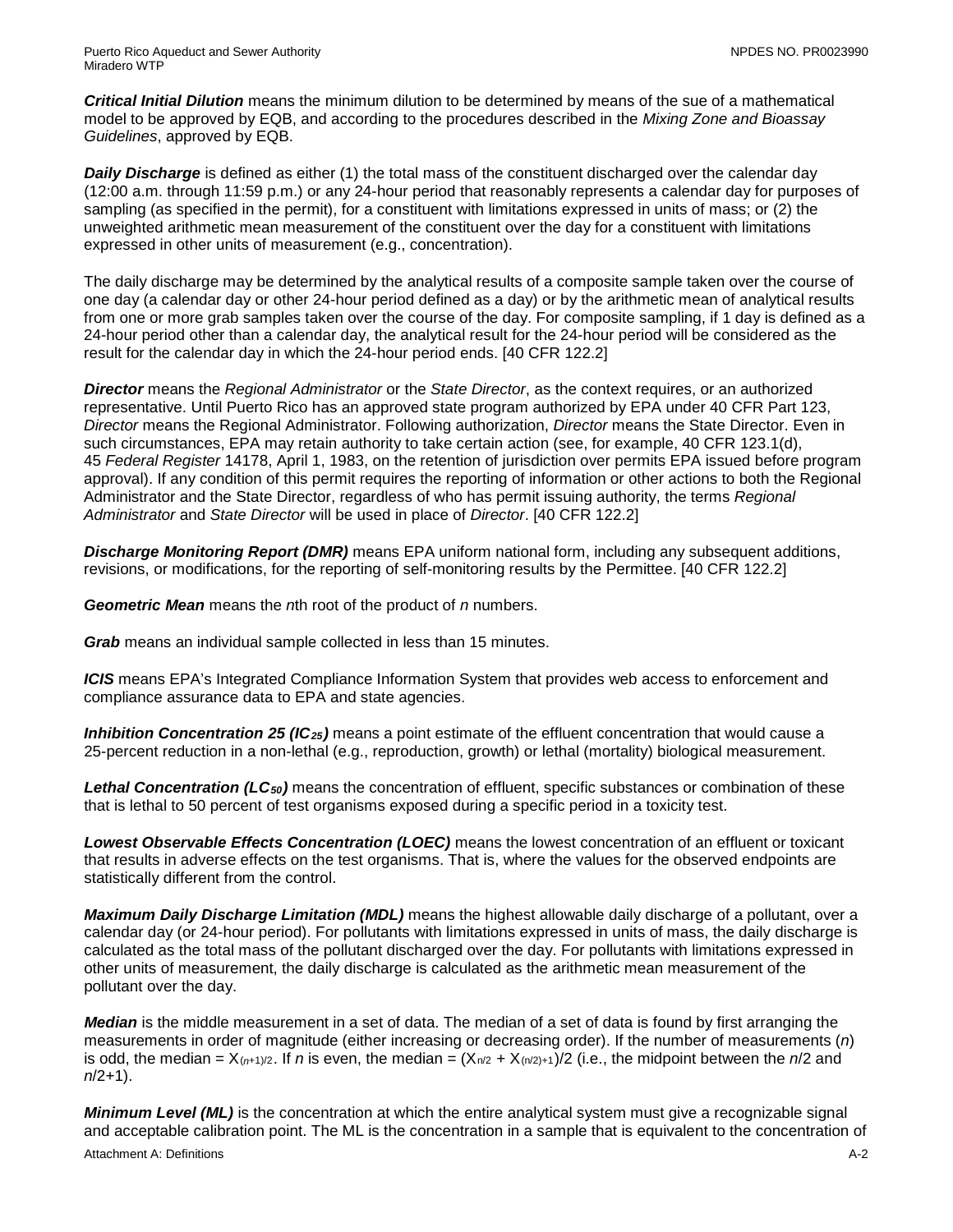*Critical Initial Dilution* means the minimum dilution to be determined by means of the sue of a mathematical model to be approved by EQB, and according to the procedures described in the *Mixing Zone and Bioassay Guidelines*, approved by EQB.

**Daily Discharge** is defined as either (1) the total mass of the constituent discharged over the calendar day (12:00 a.m. through 11:59 p.m.) or any 24-hour period that reasonably represents a calendar day for purposes of sampling (as specified in the permit), for a constituent with limitations expressed in units of mass; or (2) the unweighted arithmetic mean measurement of the constituent over the day for a constituent with limitations expressed in other units of measurement (e.g., concentration).

The daily discharge may be determined by the analytical results of a composite sample taken over the course of one day (a calendar day or other 24-hour period defined as a day) or by the arithmetic mean of analytical results from one or more grab samples taken over the course of the day. For composite sampling, if 1 day is defined as a 24-hour period other than a calendar day, the analytical result for the 24-hour period will be considered as the result for the calendar day in which the 24-hour period ends. [40 CFR 122.2]

*Director* means the *Regional Administrator* or the *State Director*, as the context requires, or an authorized representative. Until Puerto Rico has an approved state program authorized by EPA under 40 CFR Part 123, *Director* means the Regional Administrator. Following authorization, *Director* means the State Director. Even in such circumstances, EPA may retain authority to take certain action (see, for example, 40 CFR 123.1(d), 45 *Federal Register* 14178, April 1, 1983, on the retention of jurisdiction over permits EPA issued before program approval). If any condition of this permit requires the reporting of information or other actions to both the Regional Administrator and the State Director, regardless of who has permit issuing authority, the terms *Regional Administrator* and *State Director* will be used in place of *Director*. [40 CFR 122.2]

*Discharge Monitoring Report (DMR)* means EPA uniform national form, including any subsequent additions, revisions, or modifications, for the reporting of self-monitoring results by the Permittee. [40 CFR 122.2]

*Geometric Mean* means the *n*th root of the product of *n* numbers.

*Grab* means an individual sample collected in less than 15 minutes.

*ICIS* means EPA's Integrated Compliance Information System that provides web access to enforcement and compliance assurance data to EPA and state agencies.

*Inhibition Concentration 25 (IC25)* means a point estimate of the effluent concentration that would cause a 25-percent reduction in a non-lethal (e.g., reproduction, growth) or lethal (mortality) biological measurement.

*Lethal Concentration (LC50)* means the concentration of effluent, specific substances or combination of these that is lethal to 50 percent of test organisms exposed during a specific period in a toxicity test.

*Lowest Observable Effects Concentration (LOEC)* means the lowest concentration of an effluent or toxicant that results in adverse effects on the test organisms. That is, where the values for the observed endpoints are statistically different from the control.

*Maximum Daily Discharge Limitation (MDL)* means the highest allowable daily discharge of a pollutant, over a calendar day (or 24-hour period). For pollutants with limitations expressed in units of mass, the daily discharge is calculated as the total mass of the pollutant discharged over the day. For pollutants with limitations expressed in other units of measurement, the daily discharge is calculated as the arithmetic mean measurement of the pollutant over the day.

*Median* is the middle measurement in a set of data. The median of a set of data is found by first arranging the measurements in order of magnitude (either increasing or decreasing order). If the number of measurements (*n*) is odd, the median =  $X_{(n+1)/2}$ . If *n* is even, the median =  $(X_{n/2} + X_{(n/2)+1})/2$  (i.e., the midpoint between the *n*/2 and *n*/2+1).

Attachment A: Definitions **A-2** *Minimum Level (ML)* is the concentration at which the entire analytical system must give a recognizable signal and acceptable calibration point. The ML is the concentration in a sample that is equivalent to the concentration of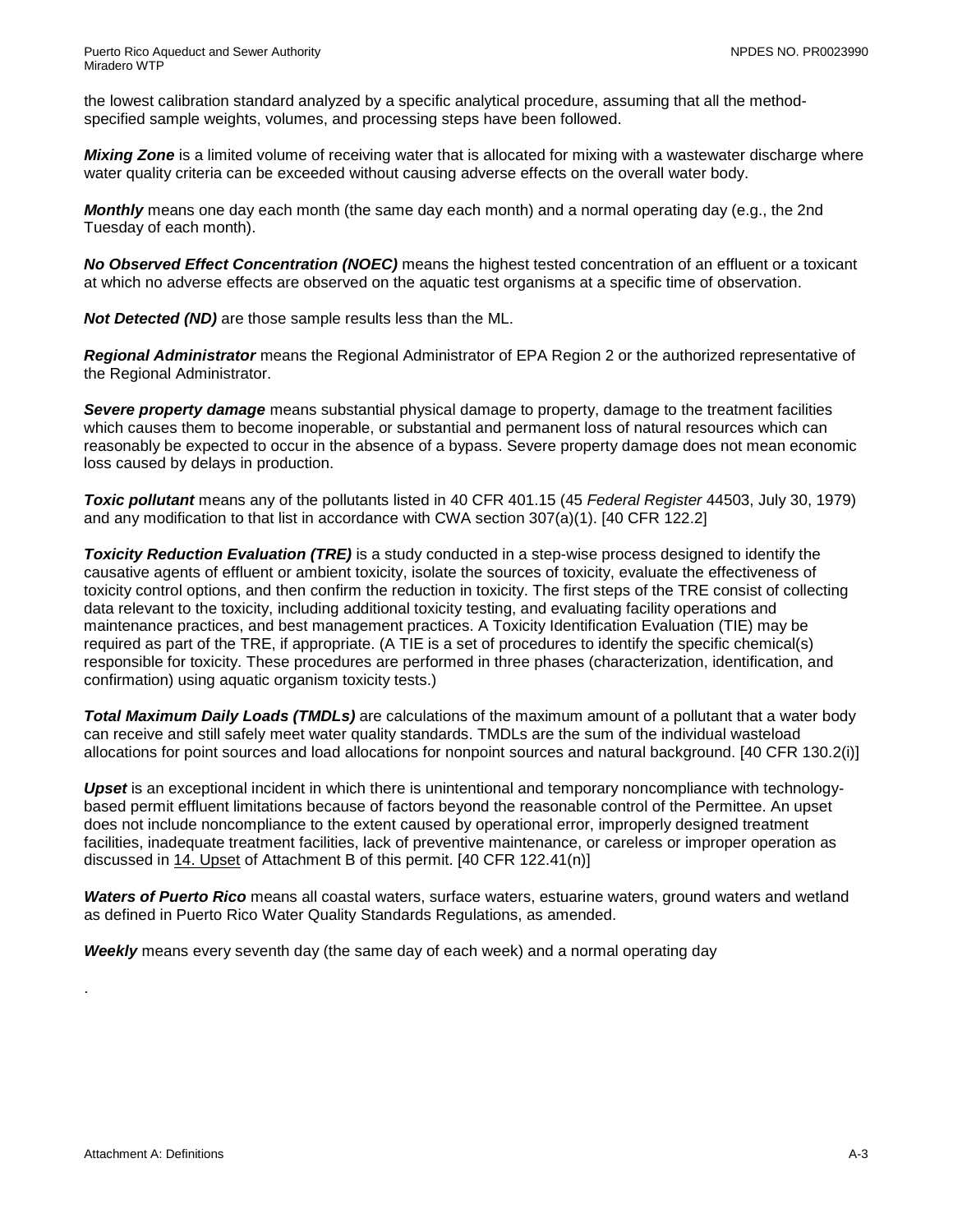the lowest calibration standard analyzed by a specific analytical procedure, assuming that all the methodspecified sample weights, volumes, and processing steps have been followed.

*Mixing Zone* is a limited volume of receiving water that is allocated for mixing with a wastewater discharge where water quality criteria can be exceeded without causing adverse effects on the overall water body.

*Monthly* means one day each month (the same day each month) and a normal operating day (e.g., the 2nd Tuesday of each month).

*No Observed Effect Concentration (NOEC)* means the highest tested concentration of an effluent or a toxicant at which no adverse effects are observed on the aquatic test organisms at a specific time of observation.

*Not Detected (ND)* are those sample results less than the ML.

*Regional Administrator* means the Regional Administrator of EPA Region 2 or the authorized representative of the Regional Administrator.

*Severe property damage* means substantial physical damage to property, damage to the treatment facilities which causes them to become inoperable, or substantial and permanent loss of natural resources which can reasonably be expected to occur in the absence of a bypass. Severe property damage does not mean economic loss caused by delays in production.

*Toxic pollutant* means any of the pollutants listed in 40 CFR 401.15 (45 *Federal Register* 44503, July 30, 1979) and any modification to that list in accordance with CWA section 307(a)(1). [40 CFR 122.2]

*Toxicity Reduction Evaluation (TRE)* is a study conducted in a step-wise process designed to identify the causative agents of effluent or ambient toxicity, isolate the sources of toxicity, evaluate the effectiveness of toxicity control options, and then confirm the reduction in toxicity. The first steps of the TRE consist of collecting data relevant to the toxicity, including additional toxicity testing, and evaluating facility operations and maintenance practices, and best management practices. A Toxicity Identification Evaluation (TIE) may be required as part of the TRE, if appropriate. (A TIE is a set of procedures to identify the specific chemical(s) responsible for toxicity. These procedures are performed in three phases (characterization, identification, and confirmation) using aquatic organism toxicity tests.)

*Total Maximum Daily Loads (TMDLs)* are calculations of the maximum amount of a pollutant that a water body can receive and still safely meet water quality standards. TMDLs are the sum of the individual wasteload allocations for point sources and load allocations for nonpoint sources and natural background. [40 CFR 130.2(i)]

*Upset* is an exceptional incident in which there is unintentional and temporary noncompliance with technologybased permit effluent limitations because of factors beyond the reasonable control of the Permittee. An upset does not include noncompliance to the extent caused by operational error, improperly designed treatment facilities, inadequate treatment facilities, lack of preventive maintenance, or careless or improper operation as discussed in 14. Upset of Attachment B of this permit. [40 CFR 122.41(n)]

*Waters of Puerto Rico* means all coastal waters, surface waters, estuarine waters, ground waters and wetland as defined in Puerto Rico Water Quality Standards Regulations, as amended.

*Weekly* means every seventh day (the same day of each week) and a normal operating day

.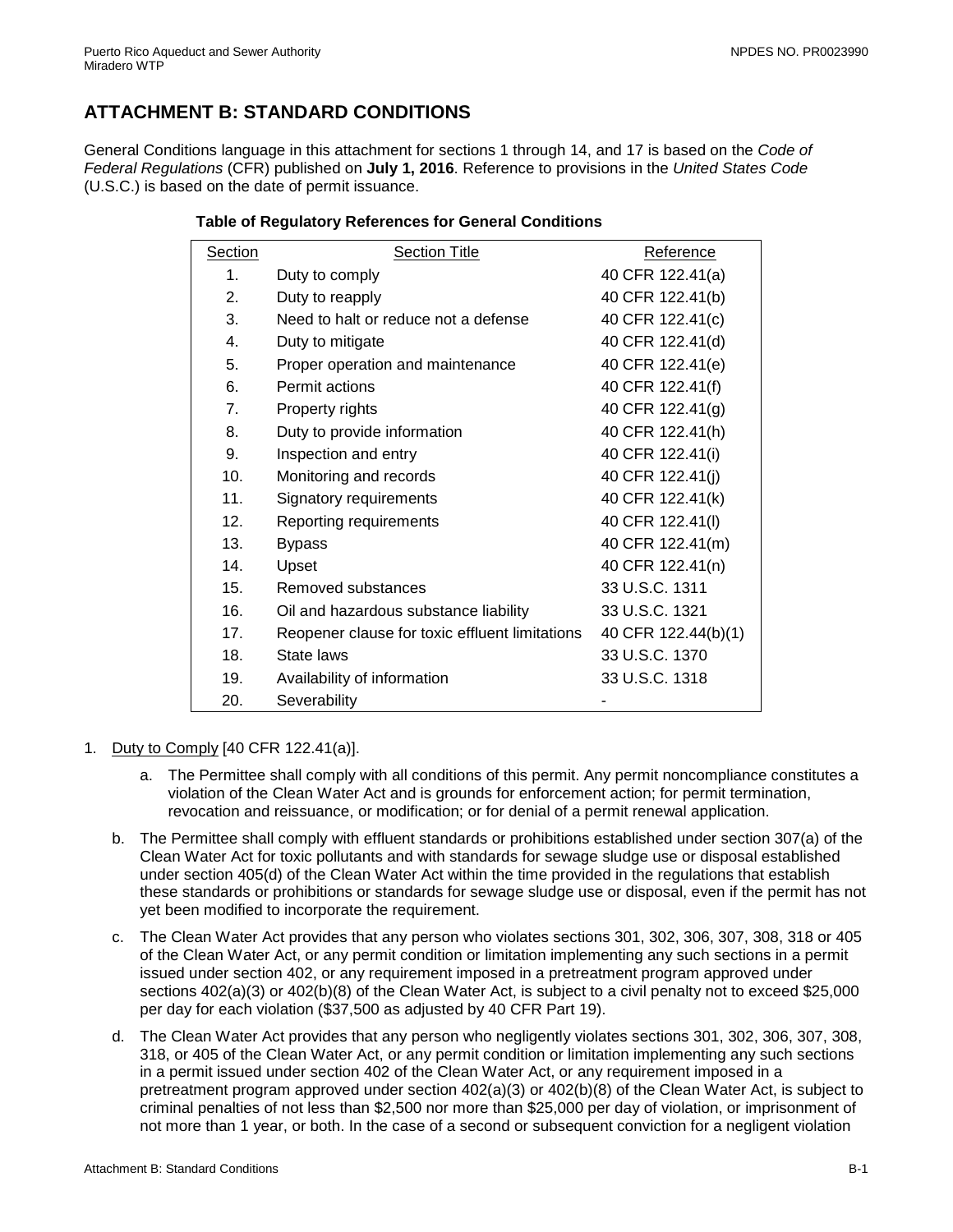## <span id="page-16-0"></span>**ATTACHMENT B: STANDARD CONDITIONS**

General Conditions language in this attachment for sections 1 through 14, and 17 is based on the *Code of Federal Regulations* (CFR) published on **July 1, 2016**. Reference to provisions in the *United States Code* (U.S.C.) is based on the date of permit issuance.

| <b>Section</b>  | <b>Section Title</b>                           | Reference           |
|-----------------|------------------------------------------------|---------------------|
| $\mathbf 1$ .   | Duty to comply                                 | 40 CFR 122.41(a)    |
| 2.              | Duty to reapply                                | 40 CFR 122.41(b)    |
| 3.              | Need to halt or reduce not a defense           | 40 CFR 122.41(c)    |
| 4.              | Duty to mitigate                               | 40 CFR 122.41(d)    |
| 5.              | Proper operation and maintenance               | 40 CFR 122.41(e)    |
| 6.              | Permit actions                                 | 40 CFR 122.41(f)    |
| 7.              | Property rights                                | 40 CFR 122.41(g)    |
| 8.              | Duty to provide information                    | 40 CFR 122.41(h)    |
| 9.              | Inspection and entry                           | 40 CFR 122.41(i)    |
| 10.             | Monitoring and records                         | 40 CFR 122.41(j)    |
| 11.             | Signatory requirements                         | 40 CFR 122.41(k)    |
| 12.             | Reporting requirements                         | 40 CFR 122.41(I)    |
| 13.             | <b>Bypass</b>                                  | 40 CFR 122.41(m)    |
| 14.             | Upset                                          | 40 CFR 122.41(n)    |
| 15.             | Removed substances                             | 33 U.S.C. 1311      |
| 16.             | Oil and hazardous substance liability          | 33 U.S.C. 1321      |
| 17 <sub>1</sub> | Reopener clause for toxic effluent limitations | 40 CFR 122.44(b)(1) |
| 18.             | State laws                                     | 33 U.S.C. 1370      |
| 19.             | Availability of information                    | 33 U.S.C. 1318      |
| 20.             | Severability                                   |                     |

#### **Table of Regulatory References for General Conditions**

- 1. Duty to Comply [40 CFR 122.41(a)].
	- a. The Permittee shall comply with all conditions of this permit. Any permit noncompliance constitutes a violation of the Clean Water Act and is grounds for enforcement action; for permit termination, revocation and reissuance, or modification; or for denial of a permit renewal application.
	- b. The Permittee shall comply with effluent standards or prohibitions established under section 307(a) of the Clean Water Act for toxic pollutants and with standards for sewage sludge use or disposal established under section 405(d) of the Clean Water Act within the time provided in the regulations that establish these standards or prohibitions or standards for sewage sludge use or disposal, even if the permit has not yet been modified to incorporate the requirement.
	- c. The Clean Water Act provides that any person who violates sections 301, 302, 306, 307, 308, 318 or 405 of the Clean Water Act, or any permit condition or limitation implementing any such sections in a permit issued under section 402, or any requirement imposed in a pretreatment program approved under sections 402(a)(3) or 402(b)(8) of the Clean Water Act, is subject to a civil penalty not to exceed \$25,000 per day for each violation (\$37,500 as adjusted by 40 CFR Part 19).
	- d. The Clean Water Act provides that any person who negligently violates sections 301, 302, 306, 307, 308, 318, or 405 of the Clean Water Act, or any permit condition or limitation implementing any such sections in a permit issued under section 402 of the Clean Water Act, or any requirement imposed in a pretreatment program approved under section 402(a)(3) or 402(b)(8) of the Clean Water Act, is subject to criminal penalties of not less than \$2,500 nor more than \$25,000 per day of violation, or imprisonment of not more than 1 year, or both. In the case of a second or subsequent conviction for a negligent violation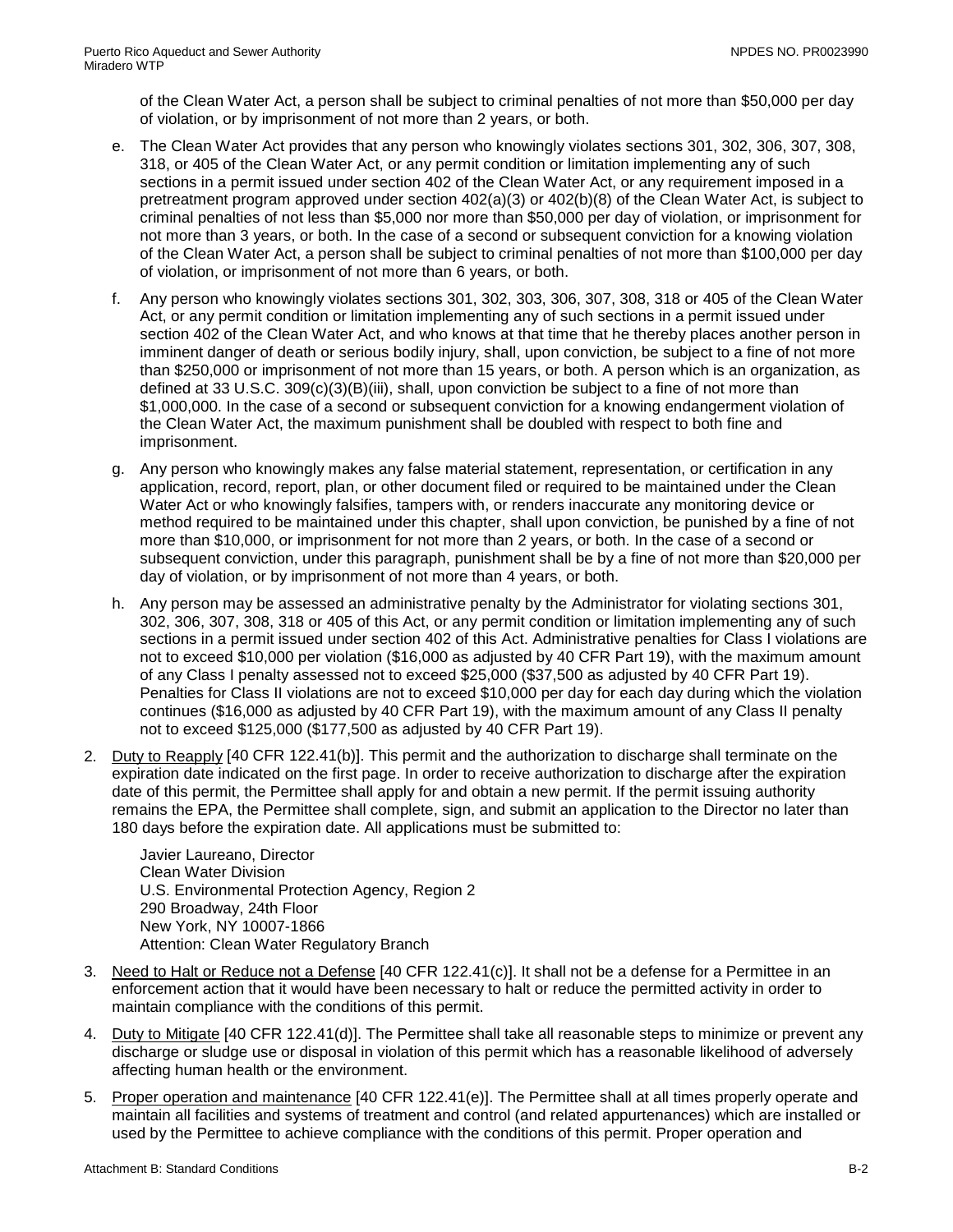of the Clean Water Act, a person shall be subject to criminal penalties of not more than \$50,000 per day of violation, or by imprisonment of not more than 2 years, or both.

- e. The Clean Water Act provides that any person who knowingly violates sections 301, 302, 306, 307, 308, 318, or 405 of the Clean Water Act, or any permit condition or limitation implementing any of such sections in a permit issued under section 402 of the Clean Water Act, or any requirement imposed in a pretreatment program approved under section 402(a)(3) or 402(b)(8) of the Clean Water Act, is subject to criminal penalties of not less than \$5,000 nor more than \$50,000 per day of violation, or imprisonment for not more than 3 years, or both. In the case of a second or subsequent conviction for a knowing violation of the Clean Water Act, a person shall be subject to criminal penalties of not more than \$100,000 per day of violation, or imprisonment of not more than 6 years, or both.
- f. Any person who knowingly violates sections 301, 302, 303, 306, 307, 308, 318 or 405 of the Clean Water Act, or any permit condition or limitation implementing any of such sections in a permit issued under section 402 of the Clean Water Act, and who knows at that time that he thereby places another person in imminent danger of death or serious bodily injury, shall, upon conviction, be subject to a fine of not more than \$250,000 or imprisonment of not more than 15 years, or both. A person which is an organization, as defined at 33 U.S.C. 309(c)(3)(B)(iii), shall, upon conviction be subject to a fine of not more than \$1,000,000. In the case of a second or subsequent conviction for a knowing endangerment violation of the Clean Water Act, the maximum punishment shall be doubled with respect to both fine and imprisonment.
- g. Any person who knowingly makes any false material statement, representation, or certification in any application, record, report, plan, or other document filed or required to be maintained under the Clean Water Act or who knowingly falsifies, tampers with, or renders inaccurate any monitoring device or method required to be maintained under this chapter, shall upon conviction, be punished by a fine of not more than \$10,000, or imprisonment for not more than 2 years, or both. In the case of a second or subsequent conviction, under this paragraph, punishment shall be by a fine of not more than \$20,000 per day of violation, or by imprisonment of not more than 4 years, or both.
- h. Any person may be assessed an administrative penalty by the Administrator for violating sections 301, 302, 306, 307, 308, 318 or 405 of this Act, or any permit condition or limitation implementing any of such sections in a permit issued under section 402 of this Act. Administrative penalties for Class I violations are not to exceed \$10,000 per violation (\$16,000 as adjusted by 40 CFR Part 19), with the maximum amount of any Class I penalty assessed not to exceed \$25,000 (\$37,500 as adjusted by 40 CFR Part 19). Penalties for Class II violations are not to exceed \$10,000 per day for each day during which the violation continues (\$16,000 as adjusted by 40 CFR Part 19), with the maximum amount of any Class II penalty not to exceed \$125,000 (\$177,500 as adjusted by 40 CFR Part 19).
- 2. Duty to Reapply [40 CFR 122.41(b)]. This permit and the authorization to discharge shall terminate on the expiration date indicated on the first page. In order to receive authorization to discharge after the expiration date of this permit, the Permittee shall apply for and obtain a new permit. If the permit issuing authority remains the EPA, the Permittee shall complete, sign, and submit an application to the Director no later than 180 days before the expiration date. All applications must be submitted to:

Javier Laureano, Director Clean Water Division U.S. Environmental Protection Agency, Region 2 290 Broadway, 24th Floor New York, NY 10007-1866 Attention: Clean Water Regulatory Branch

- 3. Need to Halt or Reduce not a Defense [40 CFR 122.41(c)]. It shall not be a defense for a Permittee in an enforcement action that it would have been necessary to halt or reduce the permitted activity in order to maintain compliance with the conditions of this permit.
- 4. Duty to Mitigate [40 CFR 122.41(d)]. The Permittee shall take all reasonable steps to minimize or prevent any discharge or sludge use or disposal in violation of this permit which has a reasonable likelihood of adversely affecting human health or the environment.
- 5. Proper operation and maintenance [40 CFR 122.41(e)]. The Permittee shall at all times properly operate and maintain all facilities and systems of treatment and control (and related appurtenances) which are installed or used by the Permittee to achieve compliance with the conditions of this permit. Proper operation and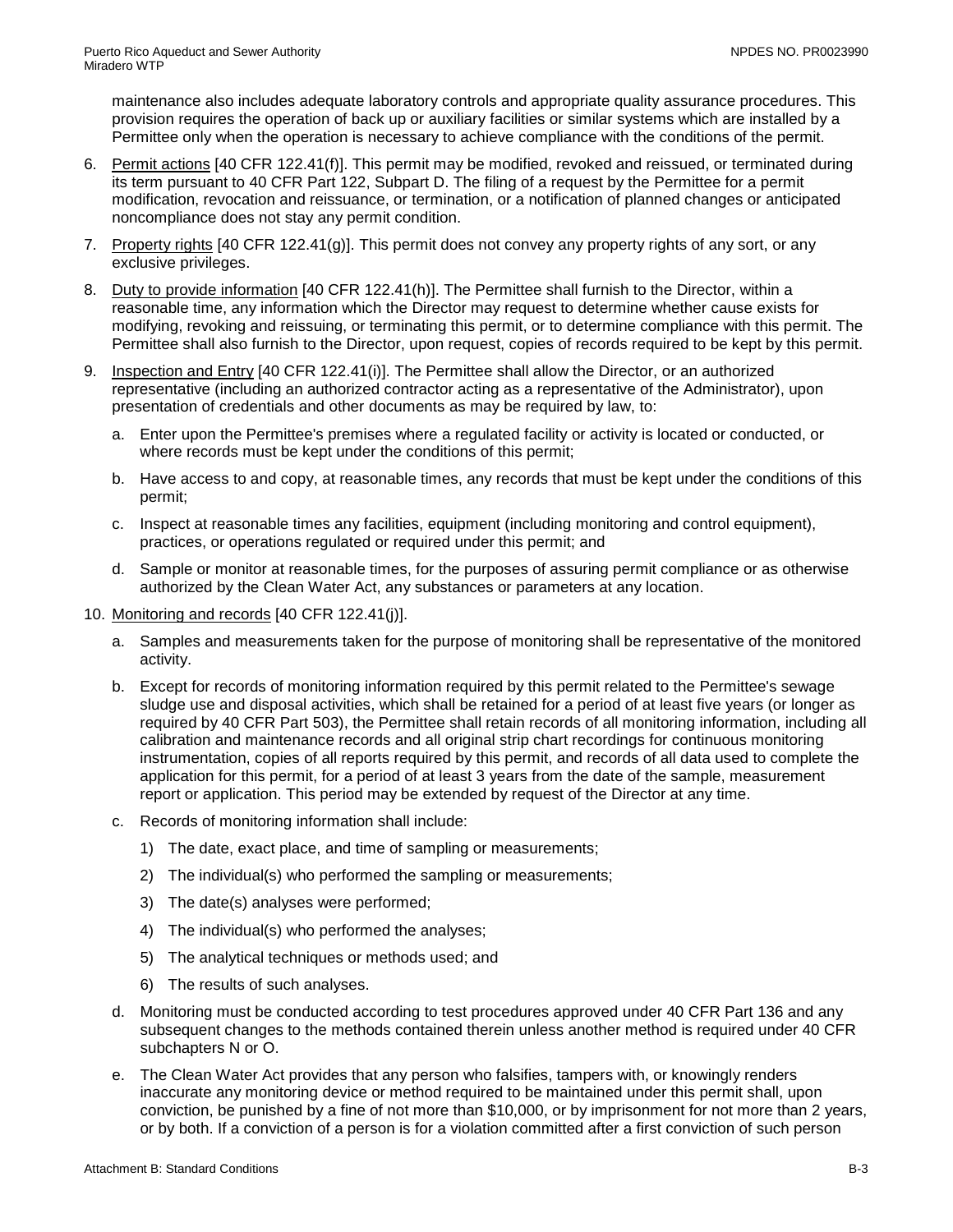maintenance also includes adequate laboratory controls and appropriate quality assurance procedures. This provision requires the operation of back up or auxiliary facilities or similar systems which are installed by a Permittee only when the operation is necessary to achieve compliance with the conditions of the permit.

- 6. Permit actions [40 CFR 122.41(f)]. This permit may be modified, revoked and reissued, or terminated during its term pursuant to 40 CFR Part 122, Subpart D. The filing of a request by the Permittee for a permit modification, revocation and reissuance, or termination, or a notification of planned changes or anticipated noncompliance does not stay any permit condition.
- 7. Property rights [40 CFR 122.41(g)]. This permit does not convey any property rights of any sort, or any exclusive privileges.
- 8. Duty to provide information [40 CFR 122.41(h)]. The Permittee shall furnish to the Director, within a reasonable time, any information which the Director may request to determine whether cause exists for modifying, revoking and reissuing, or terminating this permit, or to determine compliance with this permit. The Permittee shall also furnish to the Director, upon request, copies of records required to be kept by this permit.
- 9. Inspection and Entry [40 CFR 122.41(i)]. The Permittee shall allow the Director, or an authorized representative (including an authorized contractor acting as a representative of the Administrator), upon presentation of credentials and other documents as may be required by law, to:
	- a. Enter upon the Permittee's premises where a regulated facility or activity is located or conducted, or where records must be kept under the conditions of this permit;
	- b. Have access to and copy, at reasonable times, any records that must be kept under the conditions of this permit;
	- c. Inspect at reasonable times any facilities, equipment (including monitoring and control equipment), practices, or operations regulated or required under this permit; and
	- d. Sample or monitor at reasonable times, for the purposes of assuring permit compliance or as otherwise authorized by the Clean Water Act, any substances or parameters at any location.
- 10. Monitoring and records [40 CFR 122.41(j)].
	- a. Samples and measurements taken for the purpose of monitoring shall be representative of the monitored activity.
	- b. Except for records of monitoring information required by this permit related to the Permittee's sewage sludge use and disposal activities, which shall be retained for a period of at least five years (or longer as required by 40 CFR Part 503), the Permittee shall retain records of all monitoring information, including all calibration and maintenance records and all original strip chart recordings for continuous monitoring instrumentation, copies of all reports required by this permit, and records of all data used to complete the application for this permit, for a period of at least 3 years from the date of the sample, measurement report or application. This period may be extended by request of the Director at any time.
	- c. Records of monitoring information shall include:
		- 1) The date, exact place, and time of sampling or measurements;
		- 2) The individual(s) who performed the sampling or measurements;
		- 3) The date(s) analyses were performed;
		- 4) The individual(s) who performed the analyses;
		- 5) The analytical techniques or methods used; and
		- 6) The results of such analyses.
	- d. Monitoring must be conducted according to test procedures approved under 40 CFR Part 136 and any subsequent changes to the methods contained therein unless another method is required under 40 CFR subchapters N or O.
	- e. The Clean Water Act provides that any person who falsifies, tampers with, or knowingly renders inaccurate any monitoring device or method required to be maintained under this permit shall, upon conviction, be punished by a fine of not more than \$10,000, or by imprisonment for not more than 2 years, or by both. If a conviction of a person is for a violation committed after a first conviction of such person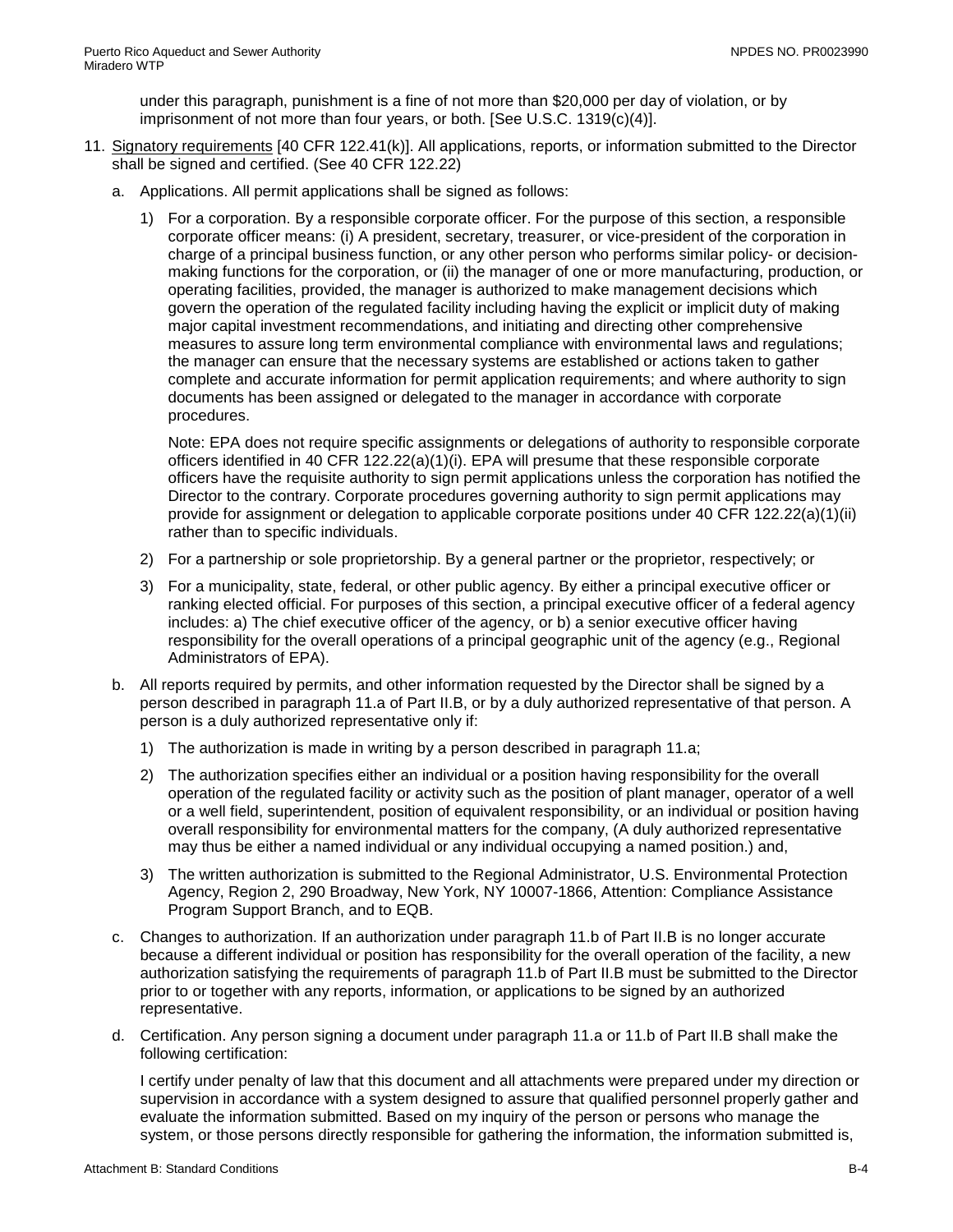under this paragraph, punishment is a fine of not more than \$20,000 per day of violation, or by imprisonment of not more than four years, or both. [See U.S.C. 1319(c)(4)].

- 11. Signatory requirements [40 CFR 122.41(k)]. All applications, reports, or information submitted to the Director shall be signed and certified. (See 40 CFR 122.22)
	- a. Applications. All permit applications shall be signed as follows:
		- 1) For a corporation. By a responsible corporate officer. For the purpose of this section, a responsible corporate officer means: (i) A president, secretary, treasurer, or vice-president of the corporation in charge of a principal business function, or any other person who performs similar policy- or decisionmaking functions for the corporation, or (ii) the manager of one or more manufacturing, production, or operating facilities, provided, the manager is authorized to make management decisions which govern the operation of the regulated facility including having the explicit or implicit duty of making major capital investment recommendations, and initiating and directing other comprehensive measures to assure long term environmental compliance with environmental laws and regulations; the manager can ensure that the necessary systems are established or actions taken to gather complete and accurate information for permit application requirements; and where authority to sign documents has been assigned or delegated to the manager in accordance with corporate procedures.

Note: EPA does not require specific assignments or delegations of authority to responsible corporate officers identified in 40 CFR 122.22(a)(1)(i). EPA will presume that these responsible corporate officers have the requisite authority to sign permit applications unless the corporation has notified the Director to the contrary. Corporate procedures governing authority to sign permit applications may provide for assignment or delegation to applicable corporate positions under 40 CFR 122.22(a)(1)(ii) rather than to specific individuals.

- 2) For a partnership or sole proprietorship. By a general partner or the proprietor, respectively; or
- 3) For a municipality, state, federal, or other public agency. By either a principal executive officer or ranking elected official. For purposes of this section, a principal executive officer of a federal agency includes: a) The chief executive officer of the agency, or b) a senior executive officer having responsibility for the overall operations of a principal geographic unit of the agency (e.g., Regional Administrators of EPA).
- b. All reports required by permits, and other information requested by the Director shall be signed by a person described in paragraph 11.a of Part II.B, or by a duly authorized representative of that person. A person is a duly authorized representative only if:
	- 1) The authorization is made in writing by a person described in paragraph 11.a;
	- 2) The authorization specifies either an individual or a position having responsibility for the overall operation of the regulated facility or activity such as the position of plant manager, operator of a well or a well field, superintendent, position of equivalent responsibility, or an individual or position having overall responsibility for environmental matters for the company, (A duly authorized representative may thus be either a named individual or any individual occupying a named position.) and,
	- 3) The written authorization is submitted to the Regional Administrator, U.S. Environmental Protection Agency, Region 2, 290 Broadway, New York, NY 10007-1866, Attention: Compliance Assistance Program Support Branch, and to EQB.
- c. Changes to authorization. If an authorization under paragraph 11.b of Part II.B is no longer accurate because a different individual or position has responsibility for the overall operation of the facility, a new authorization satisfying the requirements of paragraph 11.b of Part II.B must be submitted to the Director prior to or together with any reports, information, or applications to be signed by an authorized representative.
- d. Certification. Any person signing a document under paragraph 11.a or 11.b of Part II.B shall make the following certification:

I certify under penalty of law that this document and all attachments were prepared under my direction or supervision in accordance with a system designed to assure that qualified personnel properly gather and evaluate the information submitted. Based on my inquiry of the person or persons who manage the system, or those persons directly responsible for gathering the information, the information submitted is,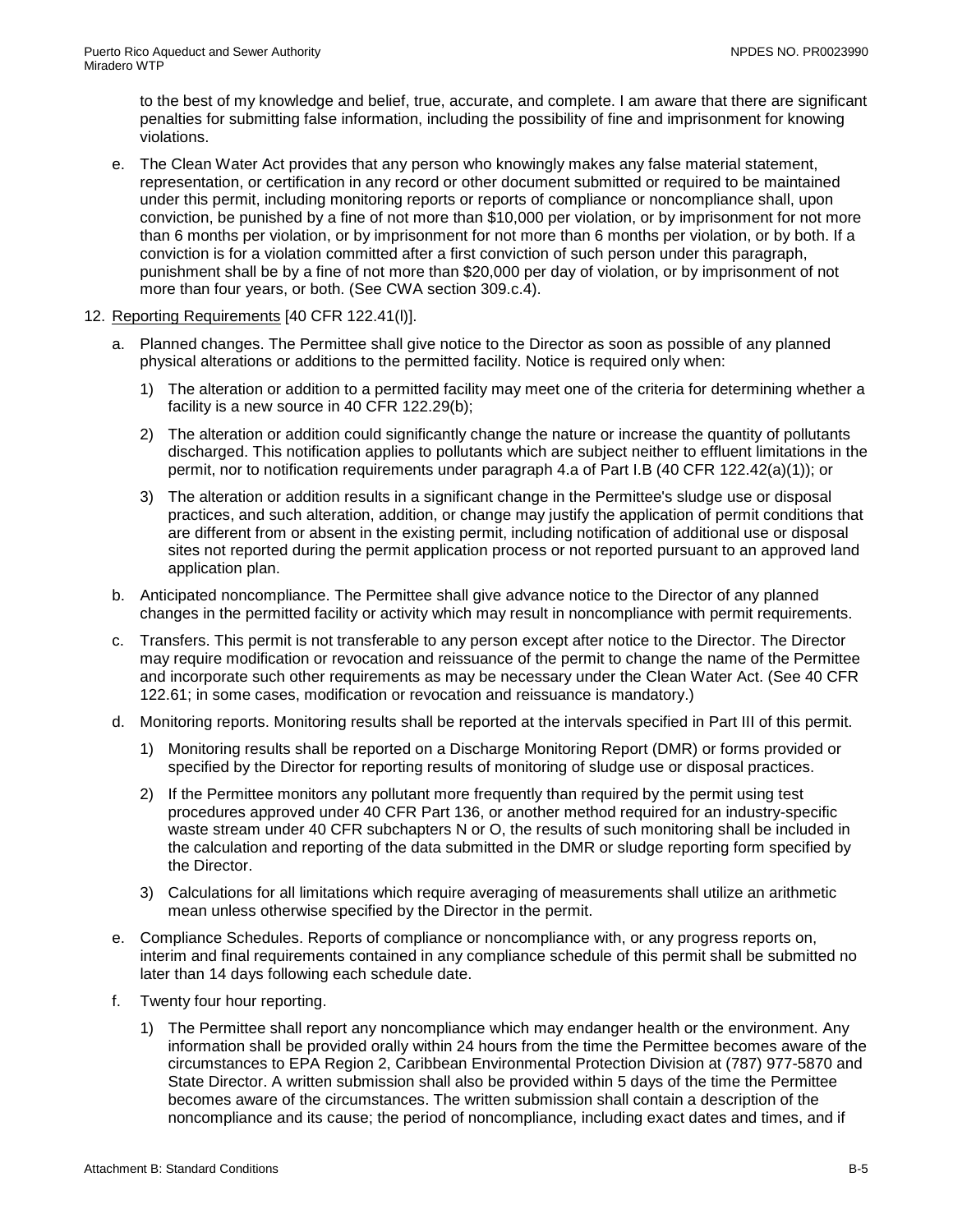to the best of my knowledge and belief, true, accurate, and complete. I am aware that there are significant penalties for submitting false information, including the possibility of fine and imprisonment for knowing violations.

- e. The Clean Water Act provides that any person who knowingly makes any false material statement, representation, or certification in any record or other document submitted or required to be maintained under this permit, including monitoring reports or reports of compliance or noncompliance shall, upon conviction, be punished by a fine of not more than \$10,000 per violation, or by imprisonment for not more than 6 months per violation, or by imprisonment for not more than 6 months per violation, or by both. If a conviction is for a violation committed after a first conviction of such person under this paragraph, punishment shall be by a fine of not more than \$20,000 per day of violation, or by imprisonment of not more than four years, or both. (See CWA section 309.c.4).
- 12. Reporting Requirements [40 CFR 122.41(l)].
	- a. Planned changes. The Permittee shall give notice to the Director as soon as possible of any planned physical alterations or additions to the permitted facility. Notice is required only when:
		- 1) The alteration or addition to a permitted facility may meet one of the criteria for determining whether a facility is a new source in 40 CFR 122.29(b);
		- 2) The alteration or addition could significantly change the nature or increase the quantity of pollutants discharged. This notification applies to pollutants which are subject neither to effluent limitations in the permit, nor to notification requirements under paragraph 4.a of Part I.B (40 CFR 122.42(a)(1)); or
		- 3) The alteration or addition results in a significant change in the Permittee's sludge use or disposal practices, and such alteration, addition, or change may justify the application of permit conditions that are different from or absent in the existing permit, including notification of additional use or disposal sites not reported during the permit application process or not reported pursuant to an approved land application plan.
	- b. Anticipated noncompliance. The Permittee shall give advance notice to the Director of any planned changes in the permitted facility or activity which may result in noncompliance with permit requirements.
	- c. Transfers. This permit is not transferable to any person except after notice to the Director. The Director may require modification or revocation and reissuance of the permit to change the name of the Permittee and incorporate such other requirements as may be necessary under the Clean Water Act. (See 40 CFR 122.61; in some cases, modification or revocation and reissuance is mandatory.)
	- d. Monitoring reports. Monitoring results shall be reported at the intervals specified in Part III of this permit.
		- 1) Monitoring results shall be reported on a Discharge Monitoring Report (DMR) or forms provided or specified by the Director for reporting results of monitoring of sludge use or disposal practices.
		- 2) If the Permittee monitors any pollutant more frequently than required by the permit using test procedures approved under 40 CFR Part 136, or another method required for an industry-specific waste stream under 40 CFR subchapters N or O, the results of such monitoring shall be included in the calculation and reporting of the data submitted in the DMR or sludge reporting form specified by the Director.
		- 3) Calculations for all limitations which require averaging of measurements shall utilize an arithmetic mean unless otherwise specified by the Director in the permit.
	- e. Compliance Schedules. Reports of compliance or noncompliance with, or any progress reports on, interim and final requirements contained in any compliance schedule of this permit shall be submitted no later than 14 days following each schedule date.
	- f. Twenty four hour reporting.
		- 1) The Permittee shall report any noncompliance which may endanger health or the environment. Any information shall be provided orally within 24 hours from the time the Permittee becomes aware of the circumstances to EPA Region 2, Caribbean Environmental Protection Division at (787) 977-5870 and State Director. A written submission shall also be provided within 5 days of the time the Permittee becomes aware of the circumstances. The written submission shall contain a description of the noncompliance and its cause; the period of noncompliance, including exact dates and times, and if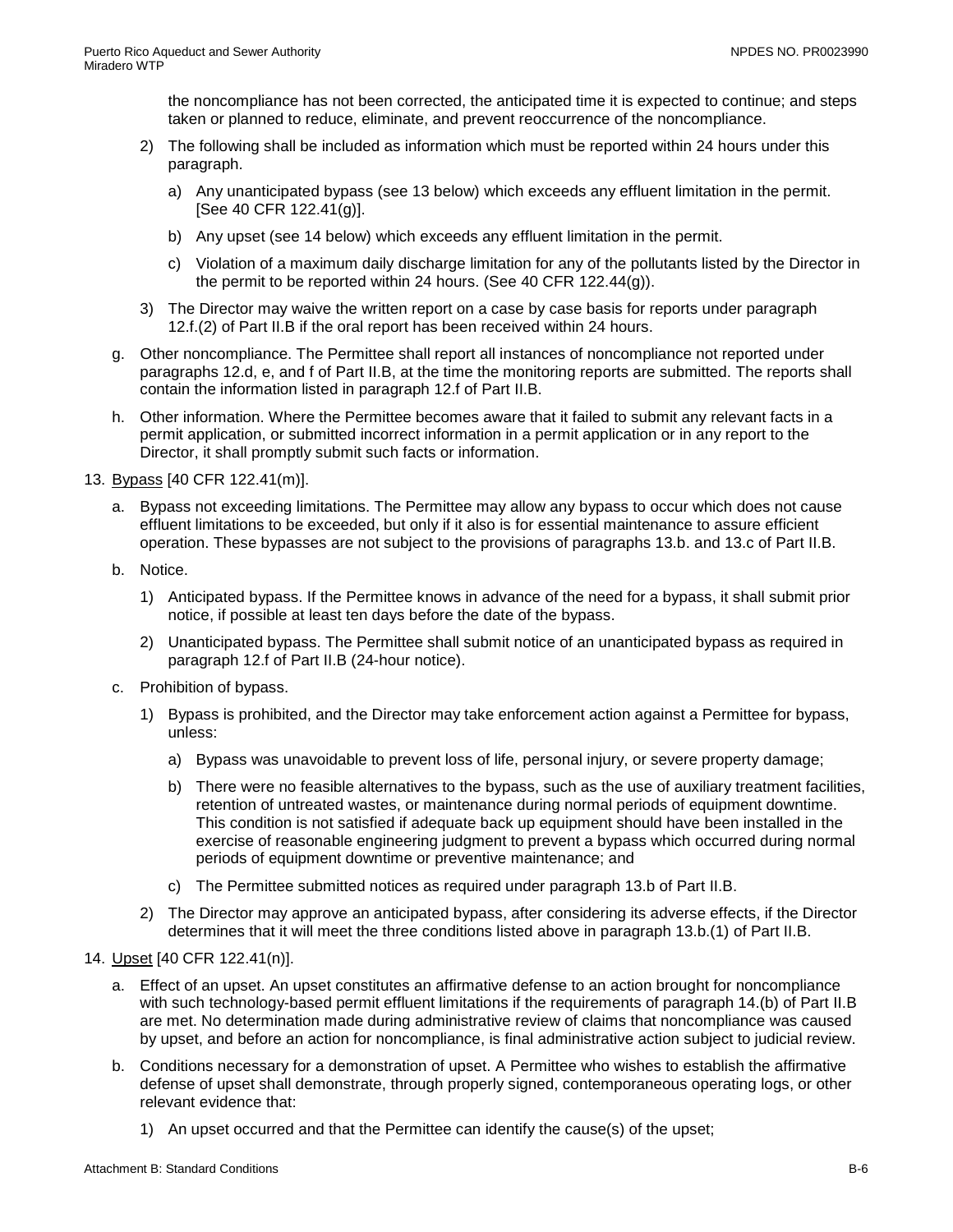the noncompliance has not been corrected, the anticipated time it is expected to continue; and steps taken or planned to reduce, eliminate, and prevent reoccurrence of the noncompliance.

- 2) The following shall be included as information which must be reported within 24 hours under this paragraph.
	- a) Any unanticipated bypass (see 13 below) which exceeds any effluent limitation in the permit. [See 40 CFR 122.41(g)].
	- b) Any upset (see 14 below) which exceeds any effluent limitation in the permit.
	- c) Violation of a maximum daily discharge limitation for any of the pollutants listed by the Director in the permit to be reported within 24 hours. (See 40 CFR 122.44(g)).
- 3) The Director may waive the written report on a case by case basis for reports under paragraph 12.f.(2) of Part II.B if the oral report has been received within 24 hours.
- g. Other noncompliance. The Permittee shall report all instances of noncompliance not reported under paragraphs 12.d, e, and f of Part II.B, at the time the monitoring reports are submitted. The reports shall contain the information listed in paragraph 12.f of Part II.B.
- h. Other information. Where the Permittee becomes aware that it failed to submit any relevant facts in a permit application, or submitted incorrect information in a permit application or in any report to the Director, it shall promptly submit such facts or information.

13. Bypass [40 CFR 122.41(m)].

- a. Bypass not exceeding limitations. The Permittee may allow any bypass to occur which does not cause effluent limitations to be exceeded, but only if it also is for essential maintenance to assure efficient operation. These bypasses are not subject to the provisions of paragraphs 13.b. and 13.c of Part II.B.
- b. Notice.
	- 1) Anticipated bypass. If the Permittee knows in advance of the need for a bypass, it shall submit prior notice, if possible at least ten days before the date of the bypass.
	- 2) Unanticipated bypass. The Permittee shall submit notice of an unanticipated bypass as required in paragraph 12.f of Part II.B (24-hour notice).
- c. Prohibition of bypass.
	- 1) Bypass is prohibited, and the Director may take enforcement action against a Permittee for bypass, unless:
		- a) Bypass was unavoidable to prevent loss of life, personal injury, or severe property damage;
		- b) There were no feasible alternatives to the bypass, such as the use of auxiliary treatment facilities, retention of untreated wastes, or maintenance during normal periods of equipment downtime. This condition is not satisfied if adequate back up equipment should have been installed in the exercise of reasonable engineering judgment to prevent a bypass which occurred during normal periods of equipment downtime or preventive maintenance; and
		- c) The Permittee submitted notices as required under paragraph 13.b of Part II.B.
	- 2) The Director may approve an anticipated bypass, after considering its adverse effects, if the Director determines that it will meet the three conditions listed above in paragraph 13.b.(1) of Part II.B.

## 14. Upset [40 CFR 122.41(n)].

- a. Effect of an upset. An upset constitutes an affirmative defense to an action brought for noncompliance with such technology-based permit effluent limitations if the requirements of paragraph 14.(b) of Part II.B are met. No determination made during administrative review of claims that noncompliance was caused by upset, and before an action for noncompliance, is final administrative action subject to judicial review.
- b. Conditions necessary for a demonstration of upset. A Permittee who wishes to establish the affirmative defense of upset shall demonstrate, through properly signed, contemporaneous operating logs, or other relevant evidence that:
	- 1) An upset occurred and that the Permittee can identify the cause(s) of the upset;